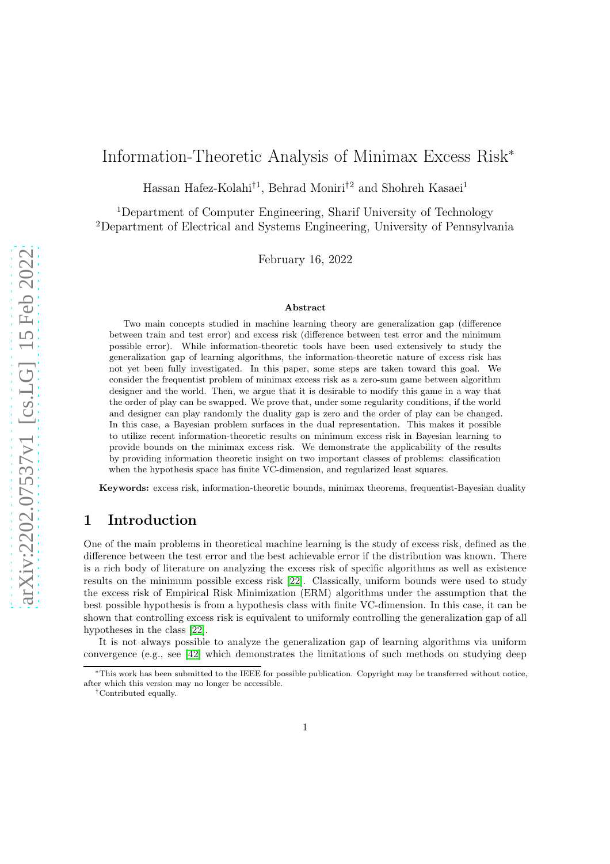# Information-Theoretic Analysis of Minimax Excess Risk<sup>∗</sup>

Hassan Hafez-Kolahi†1, Behrad Moniri†2 and Shohreh Kasaei<sup>1</sup>

<sup>1</sup>Department of Computer Engineering, Sharif University of Technology <sup>2</sup>Department of Electrical and Systems Engineering, University of Pennsylvania

February 16, 2022

#### Abstract

Two main concepts studied in machine learning theory are generalization gap (difference between train and test error) and excess risk (difference between test error and the minimum possible error). While information-theoretic tools have been used extensively to study the generalization gap of learning algorithms, the information-theoretic nature of excess risk has not yet been fully investigated. In this paper, some steps are taken toward this goal. We consider the frequentist problem of minimax excess risk as a zero-sum game between algorithm designer and the world. Then, we argue that it is desirable to modify this game in a way that the order of play can be swapped. We prove that, under some regularity conditions, if the world and designer can play randomly the duality gap is zero and the order of play can be changed. In this case, a Bayesian problem surfaces in the dual representation. This makes it possible to utilize recent information-theoretic results on minimum excess risk in Bayesian learning to provide bounds on the minimax excess risk. We demonstrate the applicability of the results by providing information theoretic insight on two important classes of problems: classification when the hypothesis space has finite VC-dimension, and regularized least squares.

Keywords: excess risk, information-theoretic bounds, minimax theorems, frequentist-Bayesian duality

## 1 Introduction

One of the main problems in theoretical machine learning is the study of excess risk, defined as the difference between the test error and the best achievable error if the distribution was known. There is a rich body of literature on analyzing the excess risk of specific algorithms as well as existence results on the minimum possible excess risk [\[22\]](#page-15-0). Classically, uniform bounds were used to study the excess risk of Empirical Risk Minimization (ERM) algorithms under the assumption that the best possible hypothesis is from a hypothesis class with finite VC-dimension. In this case, it can be shown that controlling excess risk is equivalent to uniformly controlling the generalization gap of all hypotheses in the class [\[22\]](#page-15-0).

It is not always possible to analyze the generalization gap of learning algorithms via uniform convergence (e.g., see [\[42\]](#page-16-0) which demonstrates the limitations of such methods on studying deep

<sup>∗</sup>This work has been submitted to the IEEE for possible publication. Copyright may be transferred without notice, after which this version may no longer be accessible.

<sup>†</sup>Contributed equally.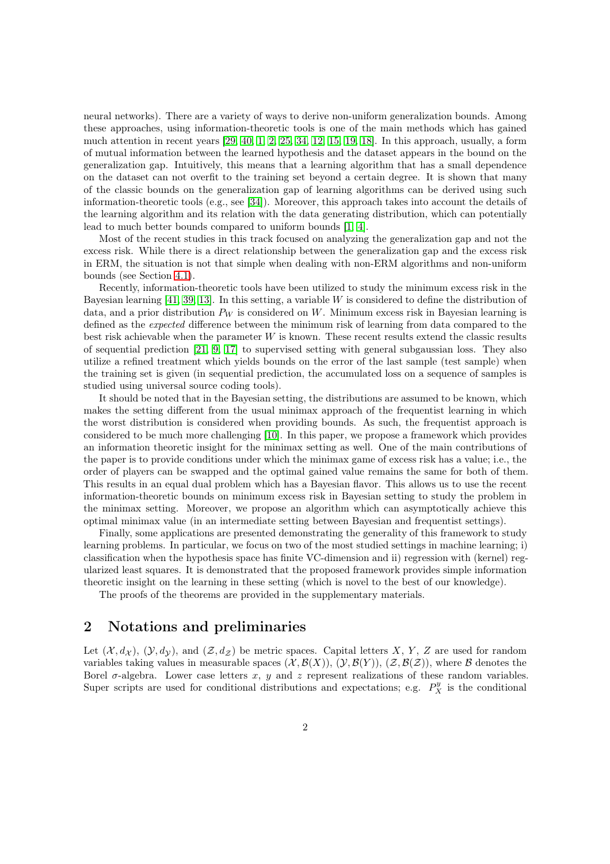neural networks). There are a variety of ways to derive non-uniform generalization bounds. Among these approaches, using information-theoretic tools is one of the main methods which has gained much attention in recent years [\[29,](#page-16-1) [40,](#page-16-2) [1,](#page-14-0) [2,](#page-14-1) [25,](#page-16-3) [34,](#page-16-4) [12,](#page-15-1) [15,](#page-15-2) [19,](#page-15-3) [18\]](#page-15-4). In this approach, usually, a form of mutual information between the learned hypothesis and the dataset appears in the bound on the generalization gap. Intuitively, this means that a learning algorithm that has a small dependence on the dataset can not overfit to the training set beyond a certain degree. It is shown that many of the classic bounds on the generalization gap of learning algorithms can be derived using such information-theoretic tools (e.g., see [\[34\]](#page-16-4)). Moreover, this approach takes into account the details of the learning algorithm and its relation with the data generating distribution, which can potentially lead to much better bounds compared to uniform bounds [\[1,](#page-14-0) [4\]](#page-14-2).

Most of the recent studies in this track focused on analyzing the generalization gap and not the excess risk. While there is a direct relationship between the generalization gap and the excess risk in ERM, the situation is not that simple when dealing with non-ERM algorithms and non-uniform bounds (see Section [4.1\)](#page-6-0).

Recently, information-theoretic tools have been utilized to study the minimum excess risk in the Bayesian learning  $[41, 39, 13]$  $[41, 39, 13]$  $[41, 39, 13]$ . In this setting, a variable W is considered to define the distribution of data, and a prior distribution  $P_W$  is considered on W. Minimum excess risk in Bayesian learning is defined as the *expected* difference between the minimum risk of learning from data compared to the best risk achievable when the parameter  $W$  is known. These recent results extend the classic results of sequential prediction [\[21,](#page-15-6) [9,](#page-15-7) [17\]](#page-15-8) to supervised setting with general subgaussian loss. They also utilize a refined treatment which yields bounds on the error of the last sample (test sample) when the training set is given (in sequential prediction, the accumulated loss on a sequence of samples is studied using universal source coding tools).

It should be noted that in the Bayesian setting, the distributions are assumed to be known, which makes the setting different from the usual minimax approach of the frequentist learning in which the worst distribution is considered when providing bounds. As such, the frequentist approach is considered to be much more challenging [\[10\]](#page-15-9). In this paper, we propose a framework which provides an information theoretic insight for the minimax setting as well. One of the main contributions of the paper is to provide conditions under which the minimax game of excess risk has a value; i.e., the order of players can be swapped and the optimal gained value remains the same for both of them. This results in an equal dual problem which has a Bayesian flavor. This allows us to use the recent information-theoretic bounds on minimum excess risk in Bayesian setting to study the problem in the minimax setting. Moreover, we propose an algorithm which can asymptotically achieve this optimal minimax value (in an intermediate setting between Bayesian and frequentist settings).

Finally, some applications are presented demonstrating the generality of this framework to study learning problems. In particular, we focus on two of the most studied settings in machine learning; i) classification when the hypothesis space has finite VC-dimension and ii) regression with (kernel) regularized least squares. It is demonstrated that the proposed framework provides simple information theoretic insight on the learning in these setting (which is novel to the best of our knowledge).

The proofs of the theorems are provided in the supplementary materials.

# 2 Notations and preliminaries

Let  $(\mathcal{X}, d_{\mathcal{X}}), (\mathcal{Y}, d_{\mathcal{Y}})$ , and  $(\mathcal{Z}, d_{\mathcal{Z}})$  be metric spaces. Capital letters X, Y, Z are used for random variables taking values in measurable spaces  $(\mathcal{X}, \mathcal{B}(X)), (\mathcal{Y}, \mathcal{B}(Y)), (\mathcal{Z}, \mathcal{B}(\mathcal{Z}))$ , where  $\mathcal B$  denotes the Borel  $\sigma$ -algebra. Lower case letters x, y and z represent realizations of these random variables. Super scripts are used for conditional distributions and expectations; e.g.  $P_X^y$  is the conditional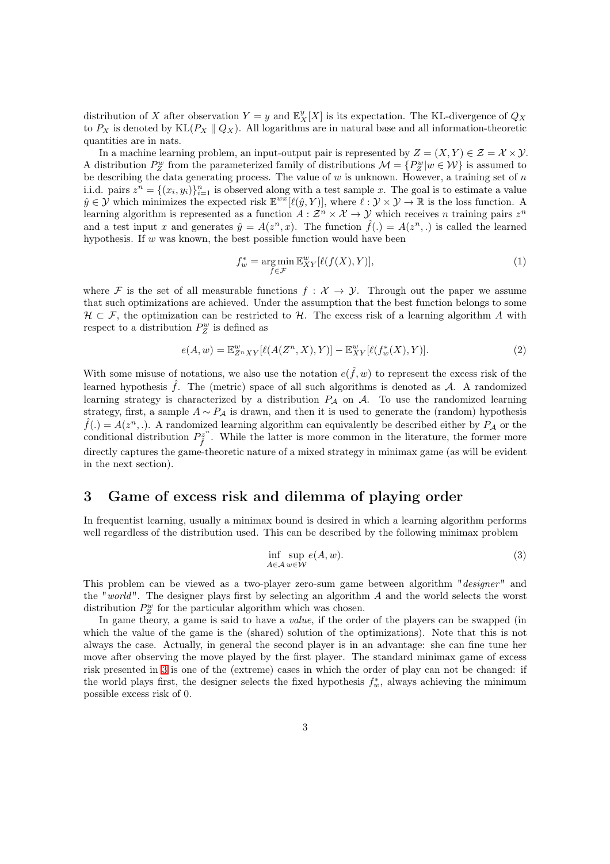distribution of X after observation  $Y = y$  and  $\mathbb{E}_X^y[X]$  is its expectation. The KL-divergence of  $Q_X$ to  $P_X$  is denoted by KL( $P_X \parallel Q_X$ ). All logarithms are in natural base and all information-theoretic quantities are in nats.

In a machine learning problem, an input-output pair is represented by  $Z = (X, Y) \in \mathcal{Z} = \mathcal{X} \times \mathcal{Y}$ . A distribution  $P_Z^w$  from the parameterized family of distributions  $\mathcal{M} = \{P_Z^w | w \in \mathcal{W}\}\$ is assumed to be describing the data generating process. The value of  $w$  is unknown. However, a training set of  $n$ i.i.d. pairs  $z^n = \{(x_i, y_i)\}_{i=1}^n$  is observed along with a test sample x. The goal is to estimate a value  $\hat{y} \in \mathcal{Y}$  which minimizes the expected risk  $\mathbb{E}^{wx}[\ell(\hat{y}, Y)]$ , where  $\ell : \mathcal{Y} \times \mathcal{Y} \to \mathbb{R}$  is the loss function. A learning algorithm is represented as a function  $A: \mathcal{Z}^n \times \mathcal{X} \to \mathcal{Y}$  which receives n training pairs  $z^n$ and a test input x and generates  $\hat{y} = A(z^n, x)$ . The function  $\hat{f}(\cdot) = A(z^n, \cdot)$  is called the learned hypothesis. If  $w$  was known, the best possible function would have been

$$
f_w^* = \underset{f \in \mathcal{F}}{\arg \min} \mathbb{E}_{XY}^w[\ell(f(X), Y)],\tag{1}
$$

where F is the set of all measurable functions  $f : \mathcal{X} \to \mathcal{Y}$ . Through out the paper we assume that such optimizations are achieved. Under the assumption that the best function belongs to some  $H \subset \mathcal{F}$ , the optimization can be restricted to H. The excess risk of a learning algorithm A with respect to a distribution  $P_Z^w$  is defined as

$$
e(A, w) = \mathbb{E}_{Z^n XY}^w [\ell(A(Z^n, X), Y)] - \mathbb{E}_{XY}^w [\ell(f_w^*(X), Y)].
$$
\n(2)

With some misuse of notations, we also use the notation  $e(\hat{f}, w)$  to represent the excess risk of the learned hypothesis  $\hat{f}$ . The (metric) space of all such algorithms is denoted as A. A randomized learning strategy is characterized by a distribution  $P_A$  on  $A$ . To use the randomized learning strategy, first, a sample  $A \sim P_A$  is drawn, and then it is used to generate the (random) hypothesis  $\hat{f}(.) = A(z^n, .)$ . A randomized learning algorithm can equivalently be described either by  $P_A$  or the conditional distribution  $P_{\hat{i}}^{z^n}$  $\hat{f}^{\bar{z}^n}$ . While the latter is more common in the literature, the former more directly captures the game-theoretic nature of a mixed strategy in minimax game (as will be evident in the next section).

# <span id="page-2-1"></span>3 Game of excess risk and dilemma of playing order

In frequentist learning, usually a minimax bound is desired in which a learning algorithm performs well regardless of the distribution used. This can be described by the following minimax problem

<span id="page-2-0"></span>
$$
\inf_{A \in \mathcal{A}} \sup_{w \in \mathcal{W}} e(A, w). \tag{3}
$$

This problem can be viewed as a two-player zero-sum game between algorithm "*designer*" and the "*world*". The designer plays first by selecting an algorithm A and the world selects the worst distribution  $P_Z^w$  for the particular algorithm which was chosen.

In game theory, a game is said to have a *value*, if the order of the players can be swapped (in which the value of the game is the (shared) solution of the optimizations). Note that this is not always the case. Actually, in general the second player is in an advantage: she can fine tune her move after observing the move played by the first player. The standard minimax game of excess risk presented in [3](#page-2-0) is one of the (extreme) cases in which the order of play can not be changed: if the world plays first, the designer selects the fixed hypothesis  $f^*_{w}$ , always achieving the minimum possible excess risk of 0.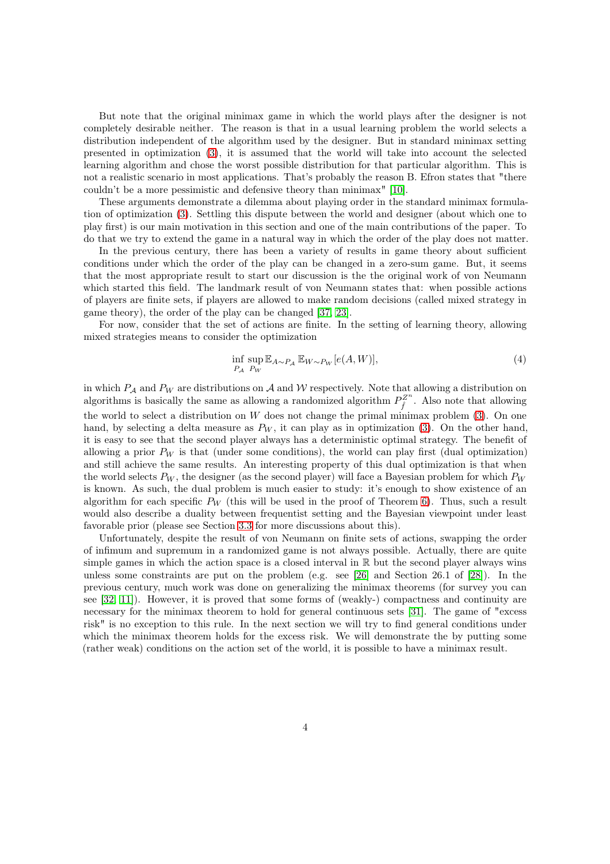But note that the original minimax game in which the world plays after the designer is not completely desirable neither. The reason is that in a usual learning problem the world selects a distribution independent of the algorithm used by the designer. But in standard minimax setting presented in optimization [\(3\)](#page-2-0), it is assumed that the world will take into account the selected learning algorithm and chose the worst possible distribution for that particular algorithm. This is not a realistic scenario in most applications. That's probably the reason B. Efron states that "there couldn't be a more pessimistic and defensive theory than minimax" [\[10\]](#page-15-9).

These arguments demonstrate a dilemma about playing order in the standard minimax formulation of optimization [\(3\)](#page-2-0). Settling this dispute between the world and designer (about which one to play first) is our main motivation in this section and one of the main contributions of the paper. To do that we try to extend the game in a natural way in which the order of the play does not matter.

In the previous century, there has been a variety of results in game theory about sufficient conditions under which the order of the play can be changed in a zero-sum game. But, it seems that the most appropriate result to start our discussion is the the original work of von Neumann which started this field. The landmark result of von Neumann states that: when possible actions of players are finite sets, if players are allowed to make random decisions (called mixed strategy in game theory), the order of the play can be changed [\[37,](#page-16-7) [23\]](#page-15-10).

For now, consider that the set of actions are finite. In the setting of learning theory, allowing mixed strategies means to consider the optimization

$$
\inf_{P_A} \sup_{P_W} \mathbb{E}_{A \sim P_A} \mathbb{E}_{W \sim P_W} [e(A, W)],\tag{4}
$$

in which  $P_A$  and  $P_W$  are distributions on A and W respectively. Note that allowing a distribution on algorithms is basically the same as allowing a randomized algorithm  $P_{\hat{\epsilon}}^{Z^n}$  $\hat{f}^{\mathcal{Z}^n}$ . Also note that allowing the world to select a distribution on  $W$  does not change the primal minimax problem  $(3)$ . On one hand, by selecting a delta measure as  $P_W$ , it can play as in optimization [\(3\)](#page-2-0). On the other hand, it is easy to see that the second player always has a deterministic optimal strategy. The benefit of allowing a prior  $P_W$  is that (under some conditions), the world can play first (dual optimization) and still achieve the same results. An interesting property of this dual optimization is that when the world selects  $P_W$ , the designer (as the second player) will face a Bayesian problem for which  $P_W$ is known. As such, the dual problem is much easier to study: it's enough to show existence of an algorithm for each specific  $P_W$  (this will be used in the proof of Theorem [6\)](#page-7-0). Thus, such a result would also describe a duality between frequentist setting and the Bayesian viewpoint under least favorable prior (please see Section [3.3](#page-5-0) for more discussions about this).

Unfortunately, despite the result of von Neumann on finite sets of actions, swapping the order of infimum and supremum in a randomized game is not always possible. Actually, there are quite simple games in which the action space is a closed interval in  $\mathbb R$  but the second player always wins unless some constraints are put on the problem (e.g. see [\[26\]](#page-16-8) and Section 26.1 of [\[28\]](#page-16-9)). In the previous century, much work was done on generalizing the minimax theorems (for survey you can see [\[32,](#page-16-10) [11\]](#page-15-11)). However, it is proved that some forms of (weakly-) compactness and continuity are necessary for the minimax theorem to hold for general continuous sets [\[31\]](#page-16-11). The game of "excess risk" is no exception to this rule. In the next section we will try to find general conditions under which the minimax theorem holds for the excess risk. We will demonstrate the by putting some (rather weak) conditions on the action set of the world, it is possible to have a minimax result.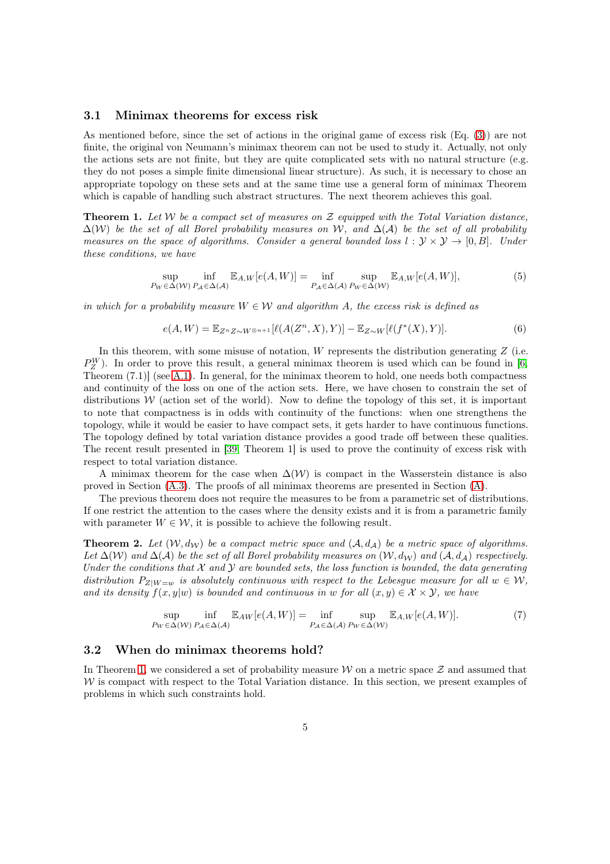#### 3.1 Minimax theorems for excess risk

As mentioned before, since the set of actions in the original game of excess risk (Eq. [\(3\)](#page-2-0)) are not finite, the original von Neumann's minimax theorem can not be used to study it. Actually, not only the actions sets are not finite, but they are quite complicated sets with no natural structure (e.g. they do not poses a simple finite dimensional linear structure). As such, it is necessary to chose an appropriate topology on these sets and at the same time use a general form of minimax Theorem which is capable of handling such abstract structures. The next theorem achieves this goal.

<span id="page-4-0"></span>Theorem 1. *Let* W *be a compact set of measures on* Z *equipped with the Total Variation distance,* ∆(W) *be the set of all Borel probability measures on* W*, and* ∆(A) *be the set of all probability measures on the space of algorithms. Consider a general bounded loss*  $l : \mathcal{Y} \times \mathcal{Y} \rightarrow [0, B]$ *. Under these conditions, we have*

$$
\sup_{P_W \in \Delta(W)} \inf_{P_A \in \Delta(\mathcal{A})} \mathbb{E}_{A,W}[e(A, W)] = \inf_{P_A \in \Delta(\mathcal{A})} \sup_{P_W \in \Delta(W)} \mathbb{E}_{A,W}[e(A, W)],
$$
\n(5)

*in which for a probability measure*  $W \in \mathcal{W}$  *and algorithm A, the excess risk is defined as* 

$$
e(A,W) = \mathbb{E}_{Z^n Z \sim W^{\otimes n+1}}[\ell(A(Z^n,X),Y)] - \mathbb{E}_{Z \sim W}[\ell(f^*(X),Y)].
$$
\n(6)

In this theorem, with some misuse of notation,  $W$  represents the distribution generating  $Z$  (i.e.  $P_Z^W$ ). In order to prove this result, a general minimax theorem is used which can be found in [\[6,](#page-14-3) Theorem (7.1)] (see [A.1\)](#page-17-0). In general, for the minimax theorem to hold, one needs both compactness and continuity of the loss on one of the action sets. Here, we have chosen to constrain the set of distributions  $W$  (action set of the world). Now to define the topology of this set, it is important to note that compactness is in odds with continuity of the functions: when one strengthens the topology, while it would be easier to have compact sets, it gets harder to have continuous functions. The topology defined by total variation distance provides a good trade off between these qualities. The recent result presented in [\[39,](#page-16-6) Theorem 1] is used to prove the continuity of excess risk with respect to total variation distance.

A minimax theorem for the case when  $\Delta(\mathcal{W})$  is compact in the Wasserstein distance is also proved in Section  $(A.3)$ . The proofs of all minimax theorems are presented in Section  $(A)$ .

The previous theorem does not require the measures to be from a parametric set of distributions. If one restrict the attention to the cases where the density exists and it is from a parametric family with parameter  $W \in \mathcal{W}$ , it is possible to achieve the following result.

<span id="page-4-1"></span>**Theorem 2.** Let  $(W, d_W)$  be a compact metric space and  $(A, d_A)$  be a metric space of algorithms. *Let*  $\Delta(W)$  *and*  $\Delta(A)$  *be the set of all Borel probability measures on*  $(W, d_W)$  *and*  $(A, d_A)$  *respectively. Under the conditions that*  $X$  *and*  $Y$  *are bounded sets, the loss function is bounded, the data generating distribution*  $P_{Z|W=w}$  *is absolutely continuous with respect to the Lebesgue measure for all*  $w \in W$ , *and its density*  $f(x, y|w)$  *is bounded and continuous in* w *for all*  $(x, y) \in \mathcal{X} \times \mathcal{Y}$ *, we have* 

$$
\sup_{P_W \in \Delta(W)} \inf_{P_A \in \Delta(A)} \mathbb{E}_{AW}[e(A, W)] = \inf_{P_A \in \Delta(A)} \sup_{P_W \in \Delta(W)} \mathbb{E}_{A, W}[e(A, W)].
$$
\n(7)

#### 3.2 When do minimax theorems hold?

In Theorem [1,](#page-4-0) we considered a set of probability measure  $W$  on a metric space  $Z$  and assumed that  $W$  is compact with respect to the Total Variation distance. In this section, we present examples of problems in which such constraints hold.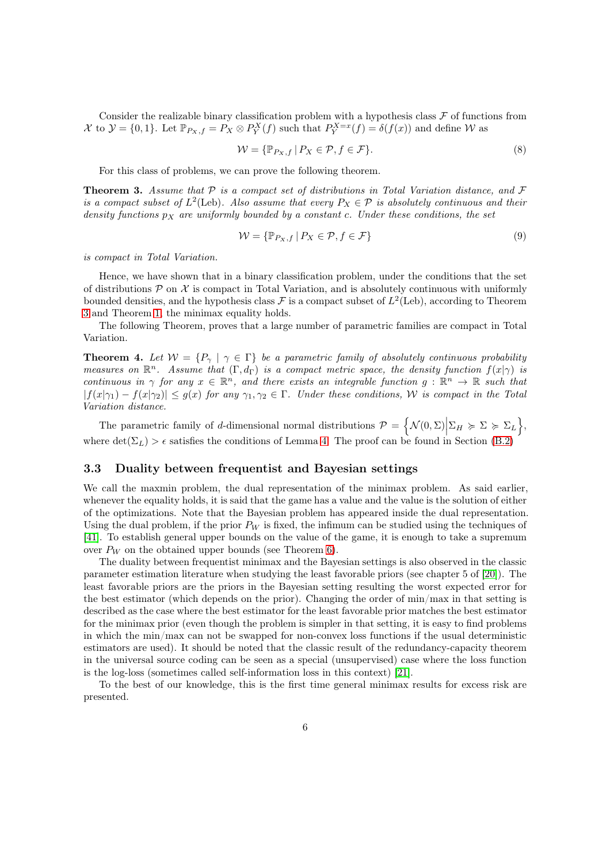Consider the realizable binary classification problem with a hypothesis class  $\mathcal F$  of functions from X to  $\mathcal{Y} = \{0, 1\}$ . Let  $\mathbb{P}_{P_X, f} = P_X \otimes P_Y^X(f)$  such that  $P_Y^{X=x}(f) = \delta(f(x))$  and define W as

$$
\mathcal{W} = \{ \mathbb{P}_{P_X, f} \mid P_X \in \mathcal{P}, f \in \mathcal{F} \}. \tag{8}
$$

For this class of problems, we can prove the following theorem.

<span id="page-5-1"></span>Theorem 3. *Assume that* P *is a compact set of distributions in Total Variation distance, and* F *is a compact subset of*  $L^2$ (Leb)*. Also assume that every*  $P_X \in \mathcal{P}$  *is absolutely continuous and their density functions*  $p_X$  *are uniformly bounded by a constant c. Under these conditions, the set* 

$$
\mathcal{W} = \{ \mathbb{P}_{P_X, f} \mid P_X \in \mathcal{P}, f \in \mathcal{F} \}
$$
\n<sup>(9)</sup>

*is compact in Total Variation.*

Hence, we have shown that in a binary classification problem, under the conditions that the set of distributions  $P$  on  $\mathcal X$  is compact in Total Variation, and is absolutely continuous with uniformly bounded densities, and the hypothesis class  $\mathcal F$  is a compact subset of  $L^2$ (Leb), according to Theorem [3](#page-5-1) and Theorem [1,](#page-4-0) the minimax equality holds.

The following Theorem, proves that a large number of parametric families are compact in Total Variation.

<span id="page-5-2"></span>**Theorem 4.** Let  $W = \{P_{\gamma} \mid \gamma \in \Gamma\}$  be a parametric family of absolutely continuous probability *measures on*  $\mathbb{R}^n$ . Assume that  $(\Gamma, d_{\Gamma})$  *is a compact metric space, the density function*  $f(x|\gamma)$  *is continuous in*  $\gamma$  *for any*  $x \in \mathbb{R}^n$ *, and there exists an integrable function*  $g : \mathbb{R}^n \to \mathbb{R}$  *such that*  $|f(x|\gamma_1) - f(x|\gamma_2)| \leq g(x)$  *for any*  $\gamma_1, \gamma_2 \in \Gamma$ . *Under these conditions, W is compact in the Total Variation distance.*

The parametric family of *d*-dimensional normal distributions  $\mathcal{P} = \left\{ \mathcal{N}(0, \Sigma) \Big| \Sigma_H \succcurlyeq \Sigma \succcurlyeq \Sigma_L \right\},\$ where  $\det(\Sigma_L) > \epsilon$  satisfies the conditions of Lemma [4.](#page-5-2) The proof can be found in Section [\(B.2\)](#page-22-0)

### <span id="page-5-0"></span>3.3 Duality between frequentist and Bayesian settings

We call the maxmin problem, the dual representation of the minimax problem. As said earlier, whenever the equality holds, it is said that the game has a value and the value is the solution of either of the optimizations. Note that the Bayesian problem has appeared inside the dual representation. Using the dual problem, if the prior  $P_W$  is fixed, the infimum can be studied using the techniques of [\[41\]](#page-16-5). To establish general upper bounds on the value of the game, it is enough to take a supremum over  $P_W$  on the obtained upper bounds (see Theorem [6\)](#page-7-0).

The duality between frequentist minimax and the Bayesian settings is also observed in the classic parameter estimation literature when studying the least favorable priors (see chapter 5 of [\[20\]](#page-15-12)). The least favorable priors are the priors in the Bayesian setting resulting the worst expected error for the best estimator (which depends on the prior). Changing the order of min/max in that setting is described as the case where the best estimator for the least favorable prior matches the best estimator for the minimax prior (even though the problem is simpler in that setting, it is easy to find problems in which the min/max can not be swapped for non-convex loss functions if the usual deterministic estimators are used). It should be noted that the classic result of the redundancy-capacity theorem in the universal source coding can be seen as a special (unsupervised) case where the loss function is the log-loss (sometimes called self-information loss in this context) [\[21\]](#page-15-6).

To the best of our knowledge, this is the first time general minimax results for excess risk are presented.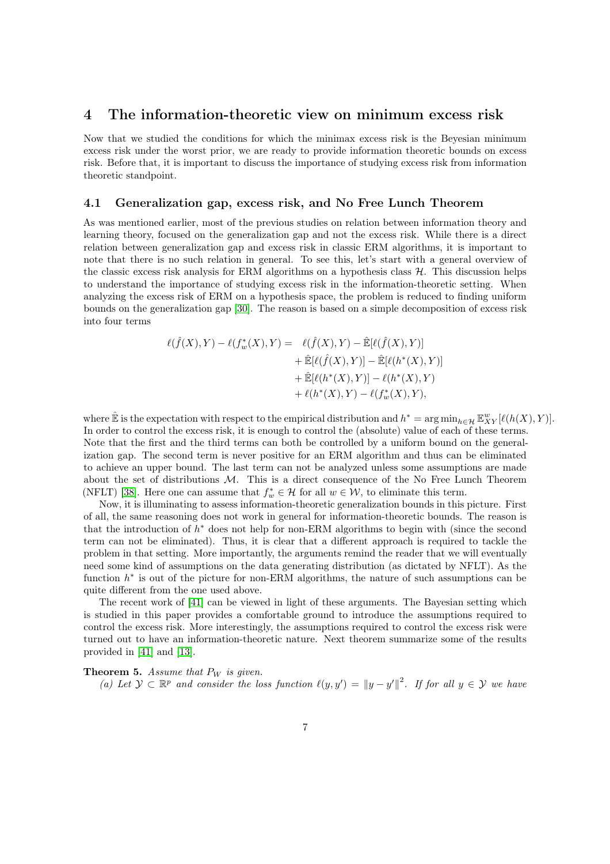### 4 The information-theoretic view on minimum excess risk

Now that we studied the conditions for which the minimax excess risk is the Beyesian minimum excess risk under the worst prior, we are ready to provide information theoretic bounds on excess risk. Before that, it is important to discuss the importance of studying excess risk from information theoretic standpoint.

### <span id="page-6-0"></span>4.1 Generalization gap, excess risk, and No Free Lunch Theorem

As was mentioned earlier, most of the previous studies on relation between information theory and learning theory, focused on the generalization gap and not the excess risk. While there is a direct relation between generalization gap and excess risk in classic ERM algorithms, it is important to note that there is no such relation in general. To see this, let's start with a general overview of the classic excess risk analysis for ERM algorithms on a hypothesis class  $H$ . This discussion helps to understand the importance of studying excess risk in the information-theoretic setting. When analyzing the excess risk of ERM on a hypothesis space, the problem is reduced to finding uniform bounds on the generalization gap [\[30\]](#page-16-12). The reason is based on a simple decomposition of excess risk into four terms

$$
\ell(\hat{f}(X), Y) - \ell(f_w^*(X), Y) = \ell(\hat{f}(X), Y) - \hat{\mathbb{E}}[\ell(\hat{f}(X), Y)] \n+ \hat{\mathbb{E}}[\ell(\hat{f}(X), Y)] - \hat{\mathbb{E}}[\ell(h^*(X), Y)] \n+ \hat{\mathbb{E}}[\ell(h^*(X), Y)] - \ell(h^*(X), Y) \n+ \ell(h^*(X), Y) - \ell(f_w^*(X), Y),
$$

where  $\hat{\mathbb{E}}$  is the expectation with respect to the empirical distribution and  $h^* = \arg\min_{h \in \mathcal{H}} \mathbb{E}_{XY}^w[\ell(h(X), Y)].$ In order to control the excess risk, it is enough to control the (absolute) value of each of these terms. Note that the first and the third terms can both be controlled by a uniform bound on the generalization gap. The second term is never positive for an ERM algorithm and thus can be eliminated to achieve an upper bound. The last term can not be analyzed unless some assumptions are made about the set of distributions  $M$ . This is a direct consequence of the No Free Lunch Theorem (NFLT) [\[38\]](#page-16-13). Here one can assume that  $f_w^* \in \mathcal{H}$  for all  $w \in \mathcal{W}$ , to eliminate this term.

Now, it is illuminating to assess information-theoretic generalization bounds in this picture. First of all, the same reasoning does not work in general for information-theoretic bounds. The reason is that the introduction of  $h^*$  does not help for non-ERM algorithms to begin with (since the second term can not be eliminated). Thus, it is clear that a different approach is required to tackle the problem in that setting. More importantly, the arguments remind the reader that we will eventually need some kind of assumptions on the data generating distribution (as dictated by NFLT). As the function  $h^*$  is out of the picture for non-ERM algorithms, the nature of such assumptions can be quite different from the one used above.

The recent work of [\[41\]](#page-16-5) can be viewed in light of these arguments. The Bayesian setting which is studied in this paper provides a comfortable ground to introduce the assumptions required to control the excess risk. More interestingly, the assumptions required to control the excess risk were turned out to have an information-theoretic nature. Next theorem summarize some of the results provided in [\[41\]](#page-16-5) and [\[13\]](#page-15-5).

#### <span id="page-6-1"></span>**Theorem 5.** Assume that  $P_W$  is given.

*(a)* Let  $\mathcal{Y} \subset \mathbb{R}^p$  and consider the loss function  $\ell(y, y') = ||y - y'||^2$ . If for all y ∈  $\mathcal{Y}$  we have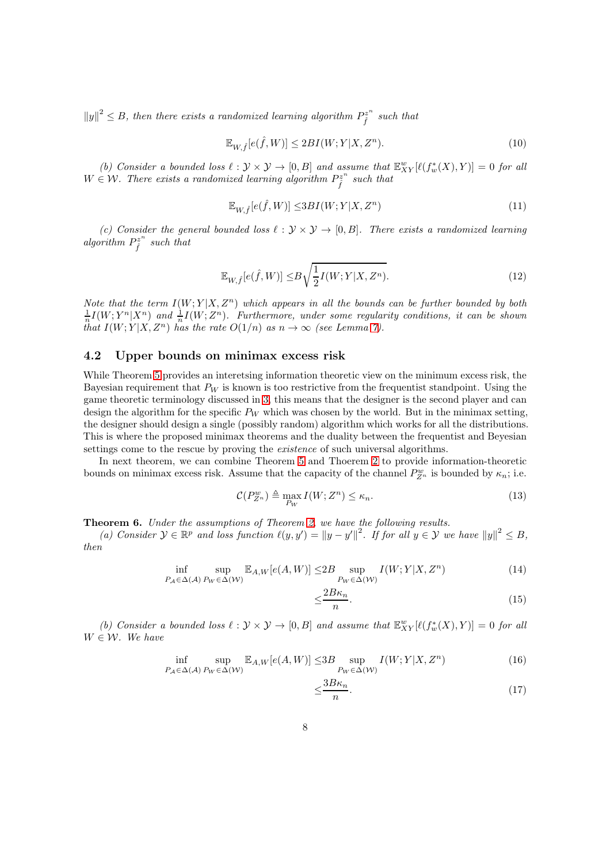$||y||^2 \leq B$ , then there exists a randomized learning algorithm  $P_{\hat{f}}^{z^n}$  $\hat{f}^z$ <sup>n</sup> such that

$$
\mathbb{E}_{W,\hat{f}}[e(\hat{f},W)] \le 2BI(W;Y|X,Z^n). \tag{10}
$$

(b) Consider a bounded loss  $\ell : \mathcal{Y} \times \mathcal{Y} \to [0, B]$  and assume that  $\mathbb{E}_{XY}^{w}[\ell(f_w^*(X), Y)] = 0$  for all  $W \in \mathcal{W}$ . There exists a randomized learning algorithm  $P_{\hat{f}}^{z^n}$  $\hat{f}^z$ <sup>n</sup> such that

$$
\mathbb{E}_{W,\hat{f}}[e(\hat{f},W)] \le 3BI(W;Y|X,Z^n)
$$
\n(11)

*(c)* Consider the general bounded loss  $\ell : \mathcal{Y} \times \mathcal{Y} \rightarrow [0, B]$ . There exists a randomized learning algorithm  $P_{\hat{i}}^{z^n}$  $\hat{f}^{z^n}$  such that

$$
\mathbb{E}_{W,\hat{f}}[e(\hat{f},W)] \leq B\sqrt{\frac{1}{2}I(W;Y|X,Z^n)}.
$$
\n(12)

*Note that the term*  $I(W; Y | X, Z^n)$  *which appears in all the bounds can be further bounded by both*  $\frac{1}{n}I(W;Y^n|X^n)$  and  $\frac{1}{n}I(W;Z^n)$ . Furthermore, under some regularity conditions, it can be shown *that*  $I(W; Y | X, Z^n)$  *has the rate*  $O(1/n)$  *as*  $n \to \infty$  *(see Lemma [7\)](#page-8-0).* 

### 4.2 Upper bounds on minimax excess risk

While Theorem [5](#page-6-1) provides an interetsing information theoretic view on the minimum excess risk, the Bayesian requirement that  $P_W$  is known is too restrictive from the frequentist standpoint. Using the game theoretic terminology discussed in [3,](#page-2-1) this means that the designer is the second player and can design the algorithm for the specific  $P_W$  which was chosen by the world. But in the minimax setting, the designer should design a single (possibly random) algorithm which works for all the distributions. This is where the proposed minimax theorems and the duality between the frequentist and Beyesian settings come to the rescue by proving the *existence* of such universal algorithms.

In next theorem, we can combine Theorem [5](#page-6-1) and Thoerem [2](#page-4-1) to provide information-theoretic bounds on minimax excess risk. Assume that the capacity of the channel  $P_{Z^n}^w$  is bounded by  $\kappa_n$ ; i.e.

$$
\mathcal{C}(P_{Z^n}^w) \triangleq \max_{P_W} I(W; Z^n) \le \kappa_n. \tag{13}
$$

<span id="page-7-0"></span>Theorem 6. *Under the assumptions of Theorem [2,](#page-4-1) we have the following results.*

*(a)* Consider  $\mathcal{Y} \in \mathbb{R}^p$  and loss function  $\ell(y, y') = ||y - y'||^2$ . If for all  $y \in \mathcal{Y}$  we have  $||y||^2 \leq B$ , *then*

$$
\inf_{P_A \in \Delta(\mathcal{A})} \sup_{P_W \in \Delta(\mathcal{W})} \mathbb{E}_{A,W}[e(A, W)] \le 2B \sup_{P_W \in \Delta(\mathcal{W})} I(W; Y | X, Z^n)
$$
\n(14)

$$
\leq \frac{2B\kappa_n}{n}.\tag{15}
$$

(b) Consider a bounded loss  $\ell : \mathcal{Y} \times \mathcal{Y} \to [0, B]$  and assume that  $\mathbb{E}_{XY}^{w}[\ell(f_w^*(X), Y)] = 0$  for all  $W \in \mathcal{W}$ *. We have* 

$$
\inf_{P_A \in \Delta(\mathcal{A})} \sup_{P_W \in \Delta(\mathcal{W})} \mathbb{E}_{A,W}[e(A, W)] \le 3B \sup_{P_W \in \Delta(\mathcal{W})} I(W; Y | X, Z^n)
$$
\n(16)

$$
\leq \frac{3B\kappa_n}{n}.\tag{17}
$$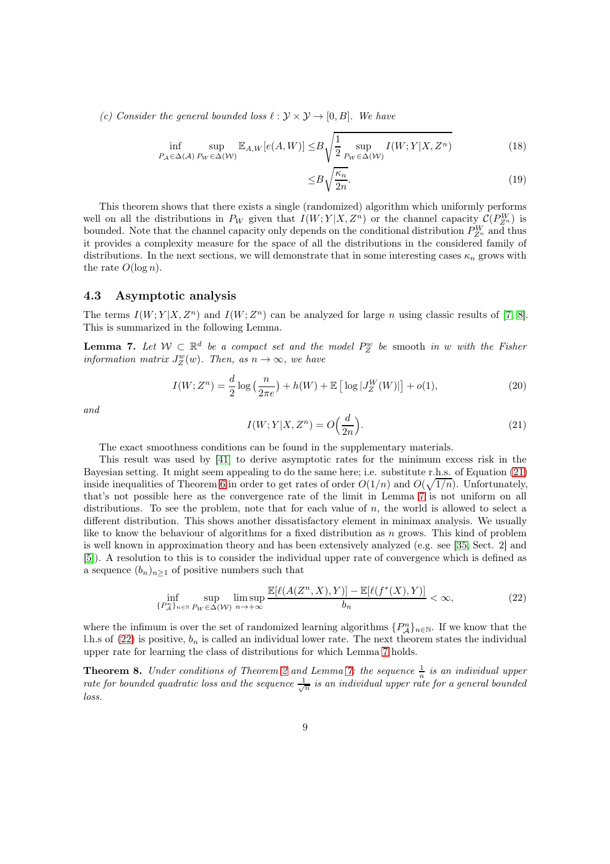*(c)* Consider the general bounded loss  $\ell : \mathcal{Y} \times \mathcal{Y} \rightarrow [0, B]$ . We have

$$
\inf_{P_{\mathcal{A}} \in \Delta(\mathcal{A})} \sup_{P_{W} \in \Delta(W)} \mathbb{E}_{A,W}[e(A, W)] \leq B \sqrt{\frac{1}{2} \sup_{P_{W} \in \Delta(W)} I(W; Y | X, Z^{n})}
$$
(18)

$$
\leq B \sqrt{\frac{\kappa_n}{2n}}.\tag{19}
$$

This theorem shows that there exists a single (randomized) algorithm which uniformly performs well on all the distributions in  $P_W$  given that  $I(W; Y | X, Z^n)$  or the channel capacity  $\mathcal{C}(P_{Z^n}^W)$  is bounded. Note that the channel capacity only depends on the conditional distribution  $P_{Z^n}^W$  and thus it provides a complexity measure for the space of all the distributions in the considered family of distributions. In the next sections, we will demonstrate that in some interesting cases  $\kappa_n$  grows with the rate  $O(\log n)$ .

#### 4.3 Asymptotic analysis

The terms  $I(W; Y | X, Z^n)$  and  $I(W; Z^n)$  can be analyzed for large n using classic results of [\[7,](#page-15-13) [8\]](#page-15-14). This is summarized in the following Lemma.

<span id="page-8-0"></span>**Lemma 7.** Let  $W \subset \mathbb{R}^d$  be a compact set and the model  $P_Z^w$  be smooth in w with the Fisher *information matrix*  $J_Z^w(w)$ *. Then, as*  $n \to \infty$ *, we have* 

$$
I(W; Z^n) = \frac{d}{2} \log \left( \frac{n}{2\pi e} \right) + h(W) + \mathbb{E} \left[ \log |J_Z^W(W)| \right] + o(1),\tag{20}
$$

<span id="page-8-1"></span>*and*

<span id="page-8-3"></span>
$$
I(W;Y|X,Z^n) = O\Big(\frac{d}{2n}\Big). \tag{21}
$$

The exact smoothness conditions can be found in the supplementary materials.

This result was used by [\[41\]](#page-16-5) to derive asymptotic rates for the minimum excess risk in the Bayesian setting. It might seem appealing to do the same here; i.e. substitute r.h.s. of Equation [\(21\)](#page-8-1) inside inequalities of Theorem [6](#page-7-0) in order to get rates of order  $O(1/n)$  and  $O(\sqrt{1/n})$ . Unfortunately, that's not possible here as the convergence rate of the limit in Lemma [7](#page-8-0) is not uniform on all distributions. To see the problem, note that for each value of  $n$ , the world is allowed to select a different distribution. This shows another dissatisfactory element in minimax analysis. We usually like to know the behaviour of algorithms for a fixed distribution as  $n$  grows. This kind of problem is well known in approximation theory and has been extensively analyzed (e.g. see [\[35,](#page-16-14) Sect. 2] and [\[5\]](#page-14-4)). A resolution to this is to consider the individual upper rate of convergence which is defined as a sequence  $(b_n)_{n\geq 1}$  of positive numbers such that

<span id="page-8-2"></span>
$$
\inf_{\{P_A^n\}_{n\in\mathbb{N}}}\sup_{P_W\in\Delta(\mathcal{W})}\limsup_{n\to+\infty}\frac{\mathbb{E}[\ell(A(Z^n,X),Y)]-\mathbb{E}[\ell(f^*(X),Y)]}{b_n}<\infty,
$$
\n(22)

where the infimum is over the set of randomized learning algorithms  $\{P_{\mathcal{A}}^n\}_{n\in\mathbb{N}}$ . If we know that the l.h.s of  $(22)$  is positive,  $b_n$  is called an individual lower rate. The next theorem states the individual upper rate for learning the class of distributions for which Lemma [7](#page-8-0) holds.

<span id="page-8-4"></span>**Theorem 8.** *Under conditions of Theorem [2](#page-4-1) and Lemma [7:](#page-8-0) the sequence*  $\frac{1}{n}$  *is an individual upper rate for bounded quadratic loss and the sequence*  $\frac{1}{\sqrt{n}}$  *is an individual upper rate for a general bounded loss.*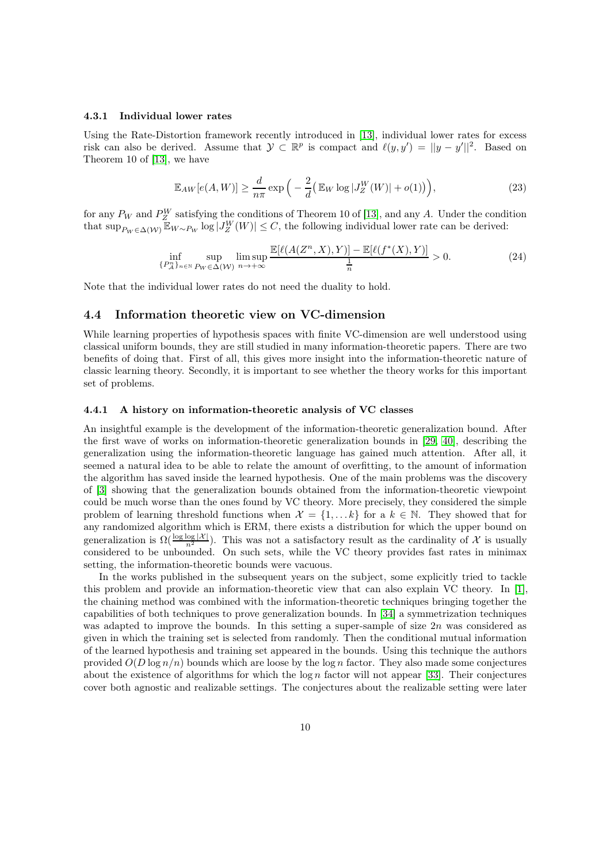#### 4.3.1 Individual lower rates

Using the Rate-Distortion framework recently introduced in [\[13\]](#page-15-5), individual lower rates for excess risk can also be derived. Assume that  $\mathcal{Y} \subset \mathbb{R}^p$  is compact and  $\ell(y, y') = ||y - y'||^2$ . Based on Theorem 10 of [\[13\]](#page-15-5), we have

$$
\mathbb{E}_{AW}[e(A, W)] \ge \frac{d}{n\pi} \exp\left(-\frac{2}{d} \left(\mathbb{E}_W \log |J_Z^W(W)| + o(1)\right)\right),\tag{23}
$$

for any  $P_W$  and  $P_Z^W$  satisfying the conditions of Theorem 10 of [\[13\]](#page-15-5), and any A. Under the condition that  $\sup_{P_W \in \Delta(W)} \mathbb{E}_{W \sim P_W} \log |J_Z^W(W)| \leq C$ , the following individual lower rate can be derived:

$$
\inf_{\{P_A^n\}_{n\in\mathbb{N}}}\sup_{P_W\in\Delta(\mathcal{W})}\limsup_{n\to+\infty}\frac{\mathbb{E}[\ell(A(Z^n,X),Y)]-\mathbb{E}[\ell(f^*(X),Y)]}{\frac{1}{n}}>0. \tag{24}
$$

Note that the individual lower rates do not need the duality to hold.

### 4.4 Information theoretic view on VC-dimension

While learning properties of hypothesis spaces with finite VC-dimension are well understood using classical uniform bounds, they are still studied in many information-theoretic papers. There are two benefits of doing that. First of all, this gives more insight into the information-theoretic nature of classic learning theory. Secondly, it is important to see whether the theory works for this important set of problems.

### 4.4.1 A history on information-theoretic analysis of VC classes

An insightful example is the development of the information-theoretic generalization bound. After the first wave of works on information-theoretic generalization bounds in [\[29,](#page-16-1) [40\]](#page-16-2), describing the generalization using the information-theoretic language has gained much attention. After all, it seemed a natural idea to be able to relate the amount of overfitting, to the amount of information the algorithm has saved inside the learned hypothesis. One of the main problems was the discovery of [\[3\]](#page-14-5) showing that the generalization bounds obtained from the information-theoretic viewpoint could be much worse than the ones found by VC theory. More precisely, they considered the simple problem of learning threshold functions when  $\mathcal{X} = \{1, \ldots k\}$  for a  $k \in \mathbb{N}$ . They showed that for any randomized algorithm which is ERM, there exists a distribution for which the upper bound on generalization is  $\Omega(\frac{\log \log |\mathcal{X}|}{n^2})$ . This was not a satisfactory result as the cardinality of X is usually considered to be unbounded. On such sets, while the VC theory provides fast rates in minimax setting, the information-theoretic bounds were vacuous.

In the works published in the subsequent years on the subject, some explicitly tried to tackle this problem and provide an information-theoretic view that can also explain VC theory. In [\[1\]](#page-14-0), the chaining method was combined with the information-theoretic techniques bringing together the capabilities of both techniques to prove generalization bounds. In [\[34\]](#page-16-4) a symmetrization techniques was adapted to improve the bounds. In this setting a super-sample of size  $2n$  was considered as given in which the training set is selected from randomly. Then the conditional mutual information of the learned hypothesis and training set appeared in the bounds. Using this technique the authors provided  $O(D \log n/n)$  bounds which are loose by the log n factor. They also made some conjectures about the existence of algorithms for which the  $\log n$  factor will not appear [\[33\]](#page-16-15). Their conjectures cover both agnostic and realizable settings. The conjectures about the realizable setting were later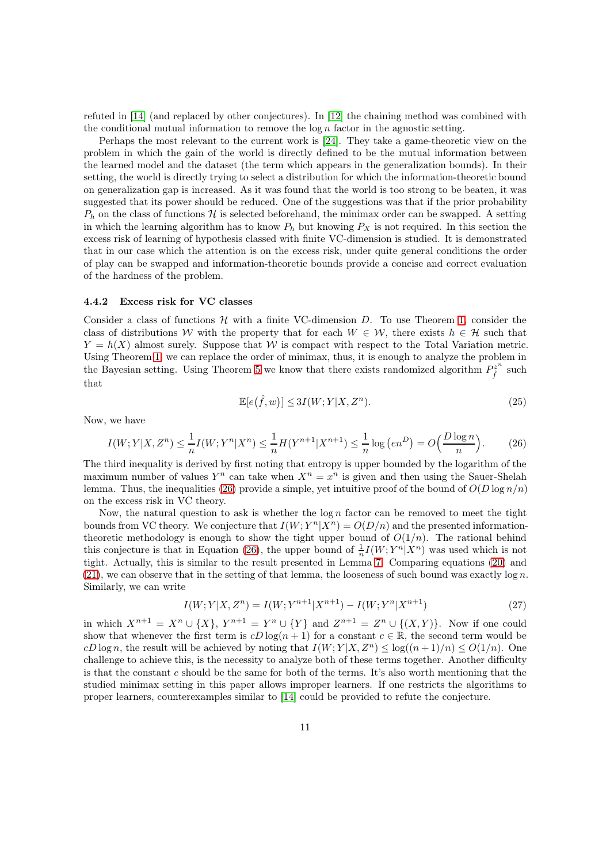refuted in [\[14\]](#page-15-15) (and replaced by other conjectures). In [\[12\]](#page-15-1) the chaining method was combined with the conditional mutual information to remove the  $\log n$  factor in the agnostic setting.

Perhaps the most relevant to the current work is [\[24\]](#page-16-16). They take a game-theoretic view on the problem in which the gain of the world is directly defined to be the mutual information between the learned model and the dataset (the term which appears in the generalization bounds). In their setting, the world is directly trying to select a distribution for which the information-theoretic bound on generalization gap is increased. As it was found that the world is too strong to be beaten, it was suggested that its power should be reduced. One of the suggestions was that if the prior probability  $P_h$  on the class of functions H is selected beforehand, the minimax order can be swapped. A setting in which the learning algorithm has to know  $P_h$  but knowing  $P_X$  is not required. In this section the excess risk of learning of hypothesis classed with finite VC-dimension is studied. It is demonstrated that in our case which the attention is on the excess risk, under quite general conditions the order of play can be swapped and information-theoretic bounds provide a concise and correct evaluation of the hardness of the problem.

#### 4.4.2 Excess risk for VC classes

Consider a class of functions  $\mathcal H$  with a finite VC-dimension D. To use Theorem [1,](#page-4-0) consider the class of distributions W with the property that for each  $W \in \mathcal{W}$ , there exists  $h \in \mathcal{H}$  such that  $Y = h(X)$  almost surely. Suppose that W is compact with respect to the Total Variation metric. Using Theorem [1,](#page-4-0) we can replace the order of minimax, thus, it is enough to analyze the problem in the Bayesian setting. Using Theorem [5](#page-6-1) we know that there exists randomized algorithm  $P_{\hat{i}}^{z^n}$  $\int\limits^{\infty}_{f}$  such that

$$
\mathbb{E}[e(\hat{f}, w)] \le 3I(W; Y|X, Z^n). \tag{25}
$$

Now, we have

<span id="page-10-0"></span>
$$
I(W;Y|X,Z^n) \le \frac{1}{n}I(W;Y^n|X^n) \le \frac{1}{n}H(Y^{n+1}|X^{n+1}) \le \frac{1}{n}\log\left(en^D\right) = O\left(\frac{D\log n}{n}\right). \tag{26}
$$

The third inequality is derived by first noting that entropy is upper bounded by the logarithm of the maximum number of values  $Y^n$  can take when  $X^n = x^n$  is given and then using the Sauer-Shelah lemma. Thus, the inequalities [\(26\)](#page-10-0) provide a simple, yet intuitive proof of the bound of  $O(D \log n/n)$ on the excess risk in VC theory.

Now, the natural question to ask is whether the  $\log n$  factor can be removed to meet the tight bounds from VC theory. We conjecture that  $I(W; Y^n | X^n) = O(D/n)$  and the presented informationtheoretic methodology is enough to show the tight upper bound of  $O(1/n)$ . The rational behind this conjecture is that in Equation [\(26\)](#page-10-0), the upper bound of  $\frac{1}{n}I(W; Y^n|X^n)$  was used which is not tight. Actually, this is similar to the result presented in Lemma [7.](#page-8-0) Comparing equations [\(20\)](#page-8-3) and  $(21)$ , we can observe that in the setting of that lemma, the looseness of such bound was exactly log n. Similarly, we can write

$$
I(W;Y|X,Z^n) = I(W;Y^{n+1}|X^{n+1}) - I(W;Y^n|X^{n+1})
$$
\n(27)

in which  $X^{n+1} = X^n \cup \{X\}$ ,  $Y^{n+1} = Y^n \cup \{Y\}$  and  $Z^{n+1} = Z^n \cup \{(X,Y)\}$ . Now if one could show that whenever the first term is  $cD\log(n+1)$  for a constant  $c \in \mathbb{R}$ , the second term would be cD log n, the result will be achieved by noting that  $I(W; Y | X, Z^n) \leq \log((n+1)/n) \leq O(1/n)$ . One challenge to achieve this, is the necessity to analyze both of these terms together. Another difficulty is that the constant c should be the same for both of the terms. It's also worth mentioning that the studied minimax setting in this paper allows improper learners. If one restricts the algorithms to proper learners, counterexamples similar to [\[14\]](#page-15-15) could be provided to refute the conjecture.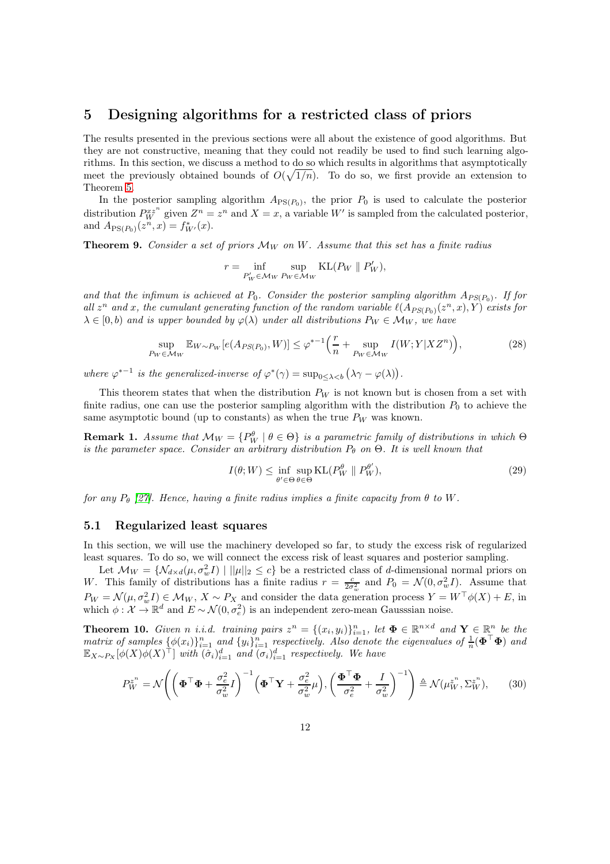### 5 Designing algorithms for a restricted class of priors

The results presented in the previous sections were all about the existence of good algorithms. But they are not constructive, meaning that they could not readily be used to find such learning algorithms. In this section, we discuss a method to do so which results in algorithms that asymptotically meet the previously obtained bounds of  $O(\sqrt{1/n})$ . To do so, we first provide an extension to Theorem [5.](#page-6-1)

In the posterior sampling algorithm  $A_{PS(P_0)}$ , the prior  $P_0$  is used to calculate the posterior distribution  $P_W^{xz^n}$  given  $Z^n = z^n$  and  $X = x$ , a variable W' is sampled from the calculated posterior, and  $A_{\mathrm{PS}(P_0)}(z^n, x) = f^*_{W'}(x)$ .

<span id="page-11-0"></span>**Theorem 9.** *Consider a set of priors*  $\mathcal{M}_W$  *on*  $W$ *. Assume that this set has a finite radius* 

$$
r = \inf_{P'_W \in \mathcal{M}_W} \sup_{P_W \in \mathcal{M}_W} \text{KL}(P_W \parallel P'_W),
$$

and that the infimum is achieved at  $P_0$ . Consider the posterior sampling algorithm  $A_{PS(P_0)}$ . If for all  $z^n$  and x, the cumulant generating function of the random variable  $\ell(A_{PS(P_0)}(z^n, x), Y)$  exists for  $\lambda \in [0, b)$  *and is upper bounded by*  $\varphi(\lambda)$  *under all distributions*  $P_W \in \mathcal{M}_W$ *, we have* 

$$
\sup_{P_W \in \mathcal{M}_W} \mathbb{E}_{W \sim P_W} [e(A_{PS(P_0)}, W)] \le \varphi^{*-1} \Big( \frac{r}{n} + \sup_{P_W \in \mathcal{M}_W} I(W; Y | X Z^n) \Big),\tag{28}
$$

where  $\varphi^{*-1}$  is the generalized-inverse of  $\varphi^*(\gamma) = \sup_{0 \leq \lambda < b} (\lambda \gamma - \varphi(\lambda)).$ 

This theorem states that when the distribution  $P_W$  is not known but is chosen from a set with finite radius, one can use the posterior sampling algorithm with the distribution  $P_0$  to achieve the same asymptotic bound (up to constants) as when the true  $P_W$  was known.

**Remark 1.** *Assume that*  $\mathcal{M}_W = \{P_W^{\theta} \mid \theta \in \Theta\}$  *is a parametric family of distributions in which*  $\Theta$ *is the parameter space. Consider an arbitrary distribution*  $P_{\theta}$  on  $\Theta$ . It is well known that

$$
I(\theta;W) \le \inf_{\theta' \in \Theta} \sup_{\theta \in \Theta} \text{KL}(P_W^{\theta} \parallel P_W^{\theta'}),\tag{29}
$$

*for any*  $P_{\theta}$  [\[27\]](#page-16-17). Hence, having a finite radius implies a finite capacity from  $\theta$  to W.

#### 5.1 Regularized least squares

In this section, we will use the machinery developed so far, to study the excess risk of regularized least squares. To do so, we will connect the excess risk of least squares and posterior sampling.

Let  $\mathcal{M}_W = \{ \mathcal{N}_{d \times d}(\mu, \sigma_w^2 I) \mid ||\mu||_2 \leq c \}$  be a restricted class of d-dimensional normal priors on W. This family of distributions has a finite radius  $r = \frac{c}{2\sigma_w^2}$  and  $P_0 = \mathcal{N}(0, \sigma_w^2 I)$ . Assume that  $P_W = \mathcal{N}(\mu, \sigma_w^2 I) \in \mathcal{M}_W$ ,  $X \sim P_X$  and consider the data generation process  $Y = W^\top \phi(X) + E$ , in which  $\phi: \mathcal{X} \to \mathbb{R}^d$  and  $E \sim \mathcal{N}(0, \sigma_e^2)$  is an independent zero-mean Gausssian noise.

<span id="page-11-1"></span>**Theorem 10.** *Given n i.i.d.* training pairs  $z^n = \{(x_i, y_i)\}_{i=1}^n$ , let  $\Phi \in \mathbb{R}^{n \times d}$  and  $\mathbf{Y} \in \mathbb{R}^n$  be the  $matrix\ of\ samples\ \{\phi(x_i)\}_{i=1}^n$  and  $\{y_i\}_{i=1}^n$  respectively. Also denote the eigenvalues of  $\frac{1}{n}(\mathbf{\Phi}^\top\mathbf{\Phi})$  and  $\mathbb{E}_{X \sim P_X} [\phi(X) \phi(X)^\top]$  *with*  $(\tilde{\sigma}_i)_{i=1}^d$  *and*  $(\sigma_i)_{i=1}^d$  *respectively. We have* 

$$
P_W^{z^n} = \mathcal{N}\Bigg(\bigg(\boldsymbol{\Phi}^\top \boldsymbol{\Phi} + \frac{\sigma_e^2}{\sigma_w^2} I\bigg)^{-1} \bigg(\boldsymbol{\Phi}^\top \mathbf{Y} + \frac{\sigma_e^2}{\sigma_w^2}\mu\bigg), \bigg(\frac{\boldsymbol{\Phi}^\top \boldsymbol{\Phi}}{\sigma_e^2} + \frac{I}{\sigma_w^2}\bigg)^{-1}\Bigg) \triangleq \mathcal{N}(\mu_W^{z^n}, \Sigma_W^{z^n}),\qquad(30)
$$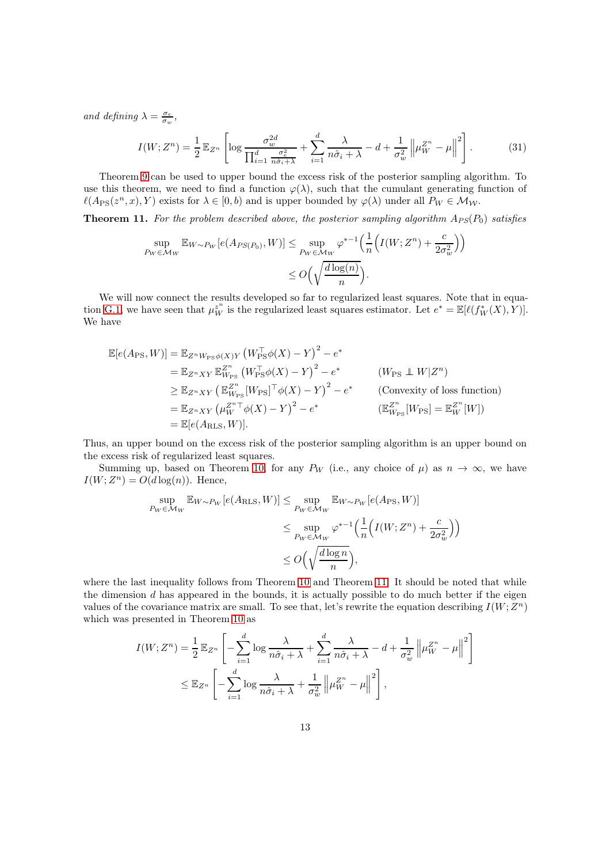*and defining*  $\lambda = \frac{\sigma_e}{\sigma_w}$ ,

$$
I(W; Z^n) = \frac{1}{2} \mathbb{E}_{Z^n} \left[ \log \frac{\sigma_w^{2d}}{\prod_{i=1}^d \frac{\sigma_e^2}{n\hat{\sigma}_i + \lambda}} + \sum_{i=1}^d \frac{\lambda}{n\hat{\sigma}_i + \lambda} - d + \frac{1}{\sigma_w^2} \left\| \mu_W^{Z^n} - \mu \right\|^2 \right].
$$
 (31)

Theorem [9](#page-11-0) can be used to upper bound the excess risk of the posterior sampling algorithm. To use this theorem, we need to find a function  $\varphi(\lambda)$ , such that the cumulant generating function of  $\ell(A_{\text{PS}}(z^n, x), Y)$  exists for  $\lambda \in [0, b)$  and is upper bounded by  $\varphi(\lambda)$  under all  $P_W \in \mathcal{M}_{\mathcal{W}}$ .

<span id="page-12-0"></span>**Theorem 11.** For the problem described above, the posterior sampling algorithm  $A_{PS}(P_0)$  satisfies

$$
\sup_{P_W \in \mathcal{M}_W} \mathbb{E}_{W \sim P_W} [e(A_{PS(P_0)}, W)] \le \sup_{P_W \in \mathcal{M}_W} \varphi^{*-1}\Big(\frac{1}{n} \Big(I(W; Z^n) + \frac{c}{2\sigma_w^2}\Big)\Big) \le O\Big(\sqrt{\frac{d \log(n)}{n}}\Big).
$$

We will now connect the results developed so far to regularized least squares. Note that in equa-tion [G.1,](#page-27-0) we have seen that  $\mu_W^{z^n}$  is the regularized least squares estimator. Let  $e^* = \mathbb{E}[\ell(f_W^*(X), Y)].$ We have

E[e(APS, W)] = EZnWPSφ(X)<sup>Y</sup> W<sup>⊤</sup> PSφ(X) − Y 2 − e ∗ = EZnXY E Z n WPS W<sup>⊤</sup> PSφ(X) − Y 2 − e ∗ (WPS ⊥⊥ W|Z n ) <sup>≥</sup> <sup>E</sup>ZnXY E Z n WPS [WPS] <sup>⊤</sup>φ(X) − Y 2 − e ∗ (Convexity of loss function) = EZnXY µ Z <sup>n</sup><sup>⊤</sup> <sup>W</sup> φ(X) − Y 2 − e ∗ (E Z n <sup>W</sup>PS [WPS] = E Z n <sup>W</sup> [W]) = E[e(ARLS, W)].

Thus, an upper bound on the excess risk of the posterior sampling algorithm is an upper bound on the excess risk of regularized least squares.

Summing up, based on Theorem [10,](#page-11-1) for any  $P_W$  (i.e., any choice of  $\mu$ ) as  $n \to \infty$ , we have  $I(W; Z^n) = O(d \log(n))$ . Hence,

$$
\sup_{P_W \in \mathcal{M}_W} \mathbb{E}_{W \sim P_W} [e(A_{\text{RLS}}, W)] \le \sup_{P_W \in \mathcal{M}_W} \mathbb{E}_{W \sim P_W} [e(A_{\text{PS}}, W)]
$$
  

$$
\le \sup_{P_W \in \mathcal{M}_W} \varphi^{*-1} \Big( \frac{1}{n} \Big( I(W; Z^n) + \frac{c}{2\sigma_w^2} \Big) \Big)
$$
  

$$
\le O\Big(\sqrt{\frac{d \log n}{n}}\Big),
$$

where the last inequality follows from Theorem [10](#page-11-1) and Theorem [11.](#page-12-0) It should be noted that while the dimension  $d$  has appeared in the bounds, it is actually possible to do much better if the eigen values of the covariance matrix are small. To see that, let's rewrite the equation describing  $I(W; Z^n)$ which was presented in Theorem [10](#page-11-1) as

$$
I(W; Z^n) = \frac{1}{2} \mathbb{E}_{Z^n} \left[ -\sum_{i=1}^d \log \frac{\lambda}{n \hat{\sigma}_i + \lambda} + \sum_{i=1}^d \frac{\lambda}{n \hat{\sigma}_i + \lambda} - d + \frac{1}{\sigma_w^2} \left\| \mu_W^{Z^n} - \mu \right\|^2 \right]
$$
  

$$
\leq \mathbb{E}_{Z^n} \left[ -\sum_{i=1}^d \log \frac{\lambda}{n \hat{\sigma}_i + \lambda} + \frac{1}{\sigma_w^2} \left\| \mu_W^{Z^n} - \mu \right\|^2 \right],
$$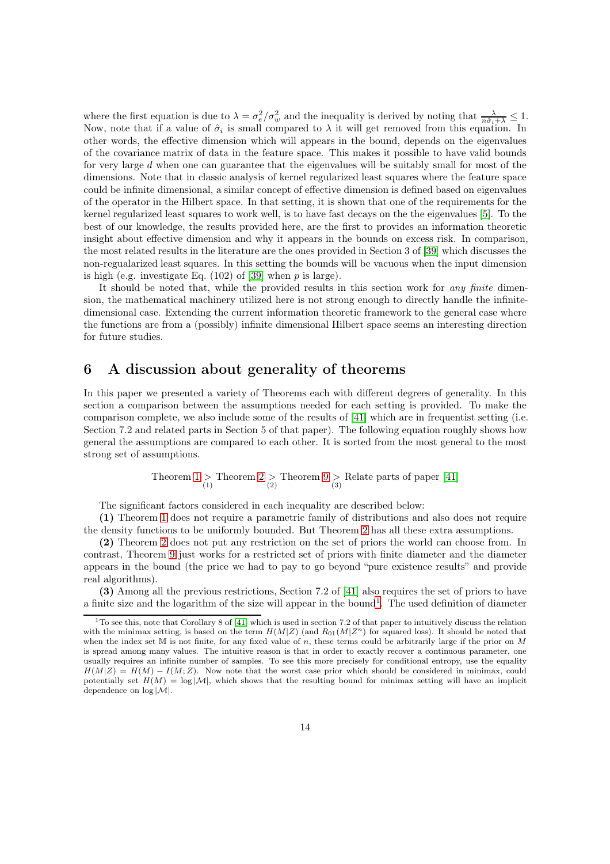where the first equation is due to  $\lambda = \sigma_e^2/\sigma_w^2$  and the inequality is derived by noting that  $\frac{\lambda}{n\hat{\sigma}_i + \lambda} \leq 1$ . Now, note that if a value of  $\hat{\sigma}_i$  is small compared to  $\lambda$  it will get removed from this equation. In other words, the effective dimension which will appears in the bound, depends on the eigenvalues of the covariance matrix of data in the feature space. This makes it possible to have valid bounds for very large d when one can guarantee that the eigenvalues will be suitably small for most of the dimensions. Note that in classic analysis of kernel regularized least squares where the feature space could be infinite dimensional, a similar concept of effective dimension is defined based on eigenvalues of the operator in the Hilbert space. In that setting, it is shown that one of the requirements for the kernel regularized least squares to work well, is to have fast decays on the the eigenvalues [\[5\]](#page-14-4). To the best of our knowledge, the results provided here, are the first to provides an information theoretic insight about effective dimension and why it appears in the bounds on excess risk. In comparison, the most related results in the literature are the ones provided in Section 3 of [\[39\]](#page-16-6) which discusses the non-regualarized least squares. In this setting the bounds will be vacuous when the input dimension is high (e.g. investigate Eq.  $(102)$  of [\[39\]](#page-16-6) when p is large).

It should be noted that, while the provided results in this section work for *any finite* dimension, the mathematical machinery utilized here is not strong enough to directly handle the infinitedimensional case. Extending the current information theoretic framework to the general case where the functions are from a (possibly) infinite dimensional Hilbert space seems an interesting direction for future studies.

### 6 A discussion about generality of theorems

In this paper we presented a variety of Theorems each with different degrees of generality. In this section a comparison between the assumptions needed for each setting is provided. To make the comparison complete, we also include some of the results of [\[41\]](#page-16-5) which are in frequentist setting (i.e. Section 7.2 and related parts in Section 5 of that paper). The following equation roughly shows how general the assumptions are compared to each other. It is sorted from the most general to the most strong set of assumptions.

Theorem [1](#page-4-0) > Theorem [2](#page-4-1) > Theorem [9](#page-11-0) > Relate parts of paper [\[41\]](#page-16-5)

The significant factors considered in each inequality are described below:

(1) Theorem [1](#page-4-0) does not require a parametric family of distributions and also does not require the density functions to be uniformly bounded. But Theorem [2](#page-4-1) has all these extra assumptions.

(2) Theorem [2](#page-4-1) does not put any restriction on the set of priors the world can choose from. In contrast, Theorem [9](#page-11-0) just works for a restricted set of priors with finite diameter and the diameter appears in the bound (the price we had to pay to go beyond "pure existence results" and provide real algorithms).

(3) Among all the previous restrictions, Section 7.2 of [\[41\]](#page-16-5) also requires the set of priors to have a finite size and the logarithm of the size will appear in the bound<sup>[1](#page-13-0)</sup>. The used definition of diameter

<span id="page-13-0"></span> $1$ <sup>T</sup>O see this, note that Corollary 8 of [\[41\]](#page-16-5) which is used in section 7.2 of that paper to intuitively discuss the relation with the minimax setting, is based on the term  $H(M|Z)$  (and  $R_{01}(M|Z^n)$  for squared loss). It should be noted that when the index set  $M$  is not finite, for any fixed value of n, these terms could be arbitrarily large if the prior on  $M$ is spread among many values. The intuitive reason is that in order to exactly recover a continuous parameter, one usually requires an infinite number of samples. To see this more precisely for conditional entropy, use the equality  $H(M|Z) = H(M) - I(M;Z)$ . Now note that the worst case prior which should be considered in minimax, could potentially set  $H(M) = \log |\mathcal{M}|$ , which shows that the resulting bound for minimax setting will have an implicit dependence on  $\log |\mathcal{M}|$ .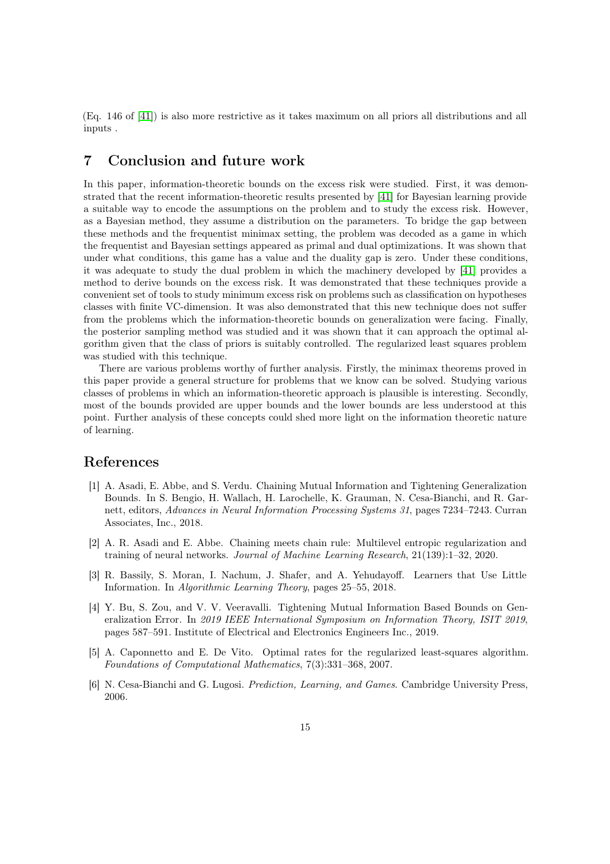(Eq. 146 of [\[41\]](#page-16-5)) is also more restrictive as it takes maximum on all priors all distributions and all inputs .

## 7 Conclusion and future work

In this paper, information-theoretic bounds on the excess risk were studied. First, it was demonstrated that the recent information-theoretic results presented by [\[41\]](#page-16-5) for Bayesian learning provide a suitable way to encode the assumptions on the problem and to study the excess risk. However, as a Bayesian method, they assume a distribution on the parameters. To bridge the gap between these methods and the frequentist minimax setting, the problem was decoded as a game in which the frequentist and Bayesian settings appeared as primal and dual optimizations. It was shown that under what conditions, this game has a value and the duality gap is zero. Under these conditions, it was adequate to study the dual problem in which the machinery developed by [\[41\]](#page-16-5) provides a method to derive bounds on the excess risk. It was demonstrated that these techniques provide a convenient set of tools to study minimum excess risk on problems such as classification on hypotheses classes with finite VC-dimension. It was also demonstrated that this new technique does not suffer from the problems which the information-theoretic bounds on generalization were facing. Finally, the posterior sampling method was studied and it was shown that it can approach the optimal algorithm given that the class of priors is suitably controlled. The regularized least squares problem was studied with this technique.

There are various problems worthy of further analysis. Firstly, the minimax theorems proved in this paper provide a general structure for problems that we know can be solved. Studying various classes of problems in which an information-theoretic approach is plausible is interesting. Secondly, most of the bounds provided are upper bounds and the lower bounds are less understood at this point. Further analysis of these concepts could shed more light on the information theoretic nature of learning.

### <span id="page-14-0"></span>References

- [1] A. Asadi, E. Abbe, and S. Verdu. Chaining Mutual Information and Tightening Generalization Bounds. In S. Bengio, H. Wallach, H. Larochelle, K. Grauman, N. Cesa-Bianchi, and R. Garnett, editors, *Advances in Neural Information Processing Systems 31*, pages 7234–7243. Curran Associates, Inc., 2018.
- <span id="page-14-1"></span>[2] A. R. Asadi and E. Abbe. Chaining meets chain rule: Multilevel entropic regularization and training of neural networks. *Journal of Machine Learning Research*, 21(139):1–32, 2020.
- <span id="page-14-5"></span>[3] R. Bassily, S. Moran, I. Nachum, J. Shafer, and A. Yehudayoff. Learners that Use Little Information. In *Algorithmic Learning Theory*, pages 25–55, 2018.
- <span id="page-14-2"></span>[4] Y. Bu, S. Zou, and V. V. Veeravalli. Tightening Mutual Information Based Bounds on Generalization Error. In *2019 IEEE International Symposium on Information Theory, ISIT 2019*, pages 587–591. Institute of Electrical and Electronics Engineers Inc., 2019.
- <span id="page-14-4"></span>[5] A. Caponnetto and E. De Vito. Optimal rates for the regularized least-squares algorithm. *Foundations of Computational Mathematics*, 7(3):331–368, 2007.
- <span id="page-14-3"></span>[6] N. Cesa-Bianchi and G. Lugosi. *Prediction, Learning, and Games*. Cambridge University Press, 2006.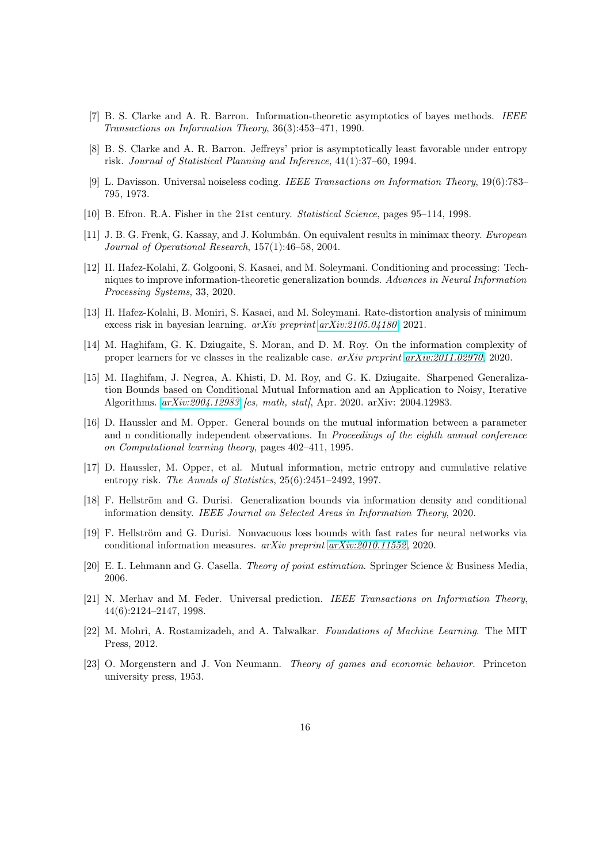- <span id="page-15-14"></span><span id="page-15-13"></span>[7] B. S. Clarke and A. R. Barron. Information-theoretic asymptotics of bayes methods. *IEEE Transactions on Information Theory*, 36(3):453–471, 1990.
- <span id="page-15-7"></span>[8] B. S. Clarke and A. R. Barron. Jeffreys' prior is asymptotically least favorable under entropy risk. *Journal of Statistical Planning and Inference*, 41(1):37–60, 1994.
- [9] L. Davisson. Universal noiseless coding. *IEEE Transactions on Information Theory*, 19(6):783– 795, 1973.
- <span id="page-15-11"></span><span id="page-15-9"></span>[10] B. Efron. R.A. Fisher in the 21st century. *Statistical Science*, pages 95–114, 1998.
- [11] J. B. G. Frenk, G. Kassay, and J. Kolumbán. On equivalent results in minimax theory. *European Journal of Operational Research*, 157(1):46–58, 2004.
- <span id="page-15-1"></span>[12] H. Hafez-Kolahi, Z. Golgooni, S. Kasaei, and M. Soleymani. Conditioning and processing: Techniques to improve information-theoretic generalization bounds. *Advances in Neural Information Processing Systems*, 33, 2020.
- <span id="page-15-5"></span>[13] H. Hafez-Kolahi, B. Moniri, S. Kasaei, and M. Soleymani. Rate-distortion analysis of minimum excess risk in bayesian learning. *arXiv preprint [arXiv:2105.04180](http://arxiv.org/abs/2105.04180)*, 2021.
- <span id="page-15-15"></span>[14] M. Haghifam, G. K. Dziugaite, S. Moran, and D. M. Roy. On the information complexity of proper learners for vc classes in the realizable case. *arXiv preprint [arXiv:2011.02970](http://arxiv.org/abs/2011.02970)*, 2020.
- <span id="page-15-2"></span>[15] M. Haghifam, J. Negrea, A. Khisti, D. M. Roy, and G. K. Dziugaite. Sharpened Generalization Bounds based on Conditional Mutual Information and an Application to Noisy, Iterative Algorithms. *[arXiv:2004.12983](http://arxiv.org/abs/2004.12983) [cs, math, stat]*, Apr. 2020. arXiv: 2004.12983.
- <span id="page-15-16"></span>[16] D. Haussler and M. Opper. General bounds on the mutual information between a parameter and n conditionally independent observations. In *Proceedings of the eighth annual conference on Computational learning theory*, pages 402–411, 1995.
- <span id="page-15-8"></span>[17] D. Haussler, M. Opper, et al. Mutual information, metric entropy and cumulative relative entropy risk. *The Annals of Statistics*, 25(6):2451–2492, 1997.
- <span id="page-15-4"></span>[18] F. Hellström and G. Durisi. Generalization bounds via information density and conditional information density. *IEEE Journal on Selected Areas in Information Theory*, 2020.
- <span id="page-15-3"></span>[19] F. Hellström and G. Durisi. Nonvacuous loss bounds with fast rates for neural networks via conditional information measures. *arXiv preprint [arXiv:2010.11552](http://arxiv.org/abs/2010.11552)*, 2020.
- <span id="page-15-12"></span><span id="page-15-6"></span>[20] E. L. Lehmann and G. Casella. *Theory of point estimation*. Springer Science & Business Media, 2006.
- [21] N. Merhav and M. Feder. Universal prediction. *IEEE Transactions on Information Theory*, 44(6):2124–2147, 1998.
- <span id="page-15-0"></span>[22] M. Mohri, A. Rostamizadeh, and A. Talwalkar. *Foundations of Machine Learning*. The MIT Press, 2012.
- <span id="page-15-10"></span>[23] O. Morgenstern and J. Von Neumann. *Theory of games and economic behavior*. Princeton university press, 1953.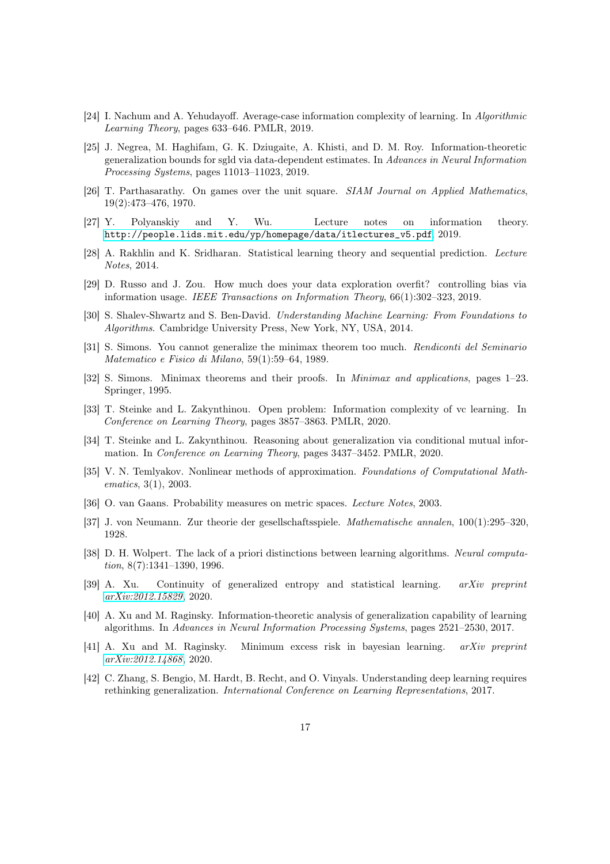- <span id="page-16-16"></span><span id="page-16-3"></span>[24] I. Nachum and A. Yehudayoff. Average-case information complexity of learning. In *Algorithmic Learning Theory*, pages 633–646. PMLR, 2019.
- [25] J. Negrea, M. Haghifam, G. K. Dziugaite, A. Khisti, and D. M. Roy. Information-theoretic generalization bounds for sgld via data-dependent estimates. In *Advances in Neural Information Processing Systems*, pages 11013–11023, 2019.
- <span id="page-16-17"></span><span id="page-16-8"></span>[26] T. Parthasarathy. On games over the unit square. *SIAM Journal on Applied Mathematics*, 19(2):473–476, 1970.
- <span id="page-16-9"></span>[27] Y. Polyanskiy and Y. Wu. Lecture notes on information theory. [http://people.lids.mit.edu/yp/homepage/data/itlectures\\_v5.pdf](http://people.lids.mit.edu/yp/homepage/data/itlectures_v5.pdf), 2019.
- <span id="page-16-1"></span>[28] A. Rakhlin and K. Sridharan. Statistical learning theory and sequential prediction. *Lecture Notes*, 2014.
- [29] D. Russo and J. Zou. How much does your data exploration overfit? controlling bias via information usage. *IEEE Transactions on Information Theory*, 66(1):302–323, 2019.
- <span id="page-16-12"></span><span id="page-16-11"></span>[30] S. Shalev-Shwartz and S. Ben-David. *Understanding Machine Learning: From Foundations to Algorithms*. Cambridge University Press, New York, NY, USA, 2014.
- [31] S. Simons. You cannot generalize the minimax theorem too much. *Rendiconti del Seminario Matematico e Fisico di Milano*, 59(1):59–64, 1989.
- <span id="page-16-10"></span>[32] S. Simons. Minimax theorems and their proofs. In *Minimax and applications*, pages 1–23. Springer, 1995.
- <span id="page-16-15"></span>[33] T. Steinke and L. Zakynthinou. Open problem: Information complexity of vc learning. In *Conference on Learning Theory*, pages 3857–3863. PMLR, 2020.
- <span id="page-16-14"></span><span id="page-16-4"></span>[34] T. Steinke and L. Zakynthinou. Reasoning about generalization via conditional mutual information. In *Conference on Learning Theory*, pages 3437–3452. PMLR, 2020.
- [35] V. N. Temlyakov. Nonlinear methods of approximation. *Foundations of Computational Mathematics*, 3(1), 2003.
- <span id="page-16-18"></span><span id="page-16-7"></span>[36] O. van Gaans. Probability measures on metric spaces. *Lecture Notes*, 2003.
- <span id="page-16-13"></span>[37] J. von Neumann. Zur theorie der gesellschaftsspiele. *Mathematische annalen*, 100(1):295–320, 1928.
- [38] D. H. Wolpert. The lack of a priori distinctions between learning algorithms. *Neural computation*, 8(7):1341–1390, 1996.
- <span id="page-16-6"></span>[39] A. Xu. Continuity of generalized entropy and statistical learning. *arXiv preprint [arXiv:2012.15829](http://arxiv.org/abs/2012.15829)*, 2020.
- <span id="page-16-2"></span>[40] A. Xu and M. Raginsky. Information-theoretic analysis of generalization capability of learning algorithms. In *Advances in Neural Information Processing Systems*, pages 2521–2530, 2017.
- <span id="page-16-5"></span>[41] A. Xu and M. Raginsky. Minimum excess risk in bayesian learning. *arXiv preprint [arXiv:2012.14868](http://arxiv.org/abs/2012.14868)*, 2020.
- <span id="page-16-0"></span>[42] C. Zhang, S. Bengio, M. Hardt, B. Recht, and O. Vinyals. Understanding deep learning requires rethinking generalization. *International Conference on Learning Representations*, 2017.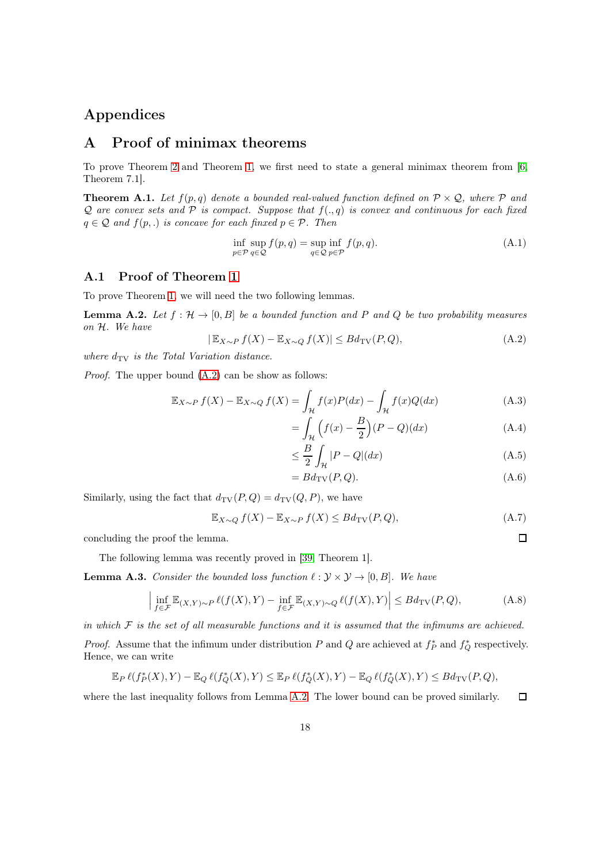# <span id="page-17-1"></span>Appendices

# A Proof of minimax theorems

To prove Theorem [2](#page-4-1) and Theorem [1,](#page-4-0) we first need to state a general minimax theorem from [\[6,](#page-14-3) Theorem 7.1].

<span id="page-17-0"></span>**Theorem A.1.** Let  $f(p,q)$  denote a bounded real-valued function defined on  $P \times Q$ , where P and  $Q$  are convex sets and  $P$  is compact. Suppose that  $f(., q)$  is convex and continuous for each fixed  $q \in \mathcal{Q}$  *and*  $f(p,.)$  *is concave for each finxed*  $p \in \mathcal{P}$ *. Then* 

$$
\inf_{p \in \mathcal{P}} \sup_{q \in \mathcal{Q}} f(p, q) = \sup_{q \in \mathcal{Q}} \inf_{p \in \mathcal{P}} f(p, q). \tag{A.1}
$$

### A.1 Proof of Theorem [1](#page-4-0)

To prove Theorem [1,](#page-4-0) we will need the two following lemmas.

<span id="page-17-3"></span>**Lemma A.2.** Let  $f : \mathcal{H} \to [0, B]$  be a bounded function and P and Q be two probability measures *on* H*. We have*

<span id="page-17-2"></span>
$$
|\mathbb{E}_{X \sim P} f(X) - \mathbb{E}_{X \sim Q} f(X)| \le B d_{\text{TV}}(P, Q), \tag{A.2}
$$

where  $d_{\text{TV}}$  *is the Total Variation distance.* 

*Proof.* The upper bound  $(A.2)$  can be show as follows:

$$
\mathbb{E}_{X \sim P} f(X) - \mathbb{E}_{X \sim Q} f(X) = \int_{\mathcal{H}} f(x)P(dx) - \int_{\mathcal{H}} f(x)Q(dx)
$$
\n(A.3)

$$
= \int_{\mathcal{H}} \left( f(x) - \frac{B}{2} \right) (P - Q)(dx) \tag{A.4}
$$

$$
\leq \frac{B}{2} \int_{\mathcal{H}} |P - Q| (dx) \tag{A.5}
$$

$$
=Bd_{\mathrm{TV}}(P,Q). \tag{A.6}
$$

 $\Box$ 

Similarly, using the fact that  $d_{\text{TV}}(P, Q) = d_{\text{TV}}(Q, P)$ , we have

$$
\mathbb{E}_{X \sim Q} f(X) - \mathbb{E}_{X \sim P} f(X) \le B d_{\text{TV}}(P, Q), \tag{A.7}
$$

concluding the proof the lemma.

The following lemma was recently proved in [\[39,](#page-16-6) Theorem 1].

<span id="page-17-4"></span>**Lemma A.3.** *Consider the bounded loss function*  $\ell : \mathcal{Y} \times \mathcal{Y} \rightarrow [0, B]$ *. We have* 

$$
\left| \inf_{f \in \mathcal{F}} \mathbb{E}_{(X,Y) \sim P} \ell(f(X), Y) - \inf_{f \in \mathcal{F}} \mathbb{E}_{(X,Y) \sim Q} \ell(f(X), Y) \right| \leq B d_{\text{TV}}(P, Q), \tag{A.8}
$$

*in which* F *is the set of all measurable functions and it is assumed that the infimums are achieved.*

*Proof.* Assume that the infimum under distribution P and Q are achieved at  $f_P^*$  and  $f_Q^*$  respectively. Hence, we can write

$$
\mathbb{E}_P \ell(f^*_P(X),Y) - \mathbb{E}_Q \ell(f^*_Q(X),Y) \leq \mathbb{E}_P \ell(f^*_Q(X),Y) - \mathbb{E}_Q \ell(f^*_Q(X),Y) \leq Bd_{\text{TV}}(P,Q),
$$

where the last inequality follows from Lemma [A.2.](#page-17-3) The lower bound can be proved similarly.  $\Box$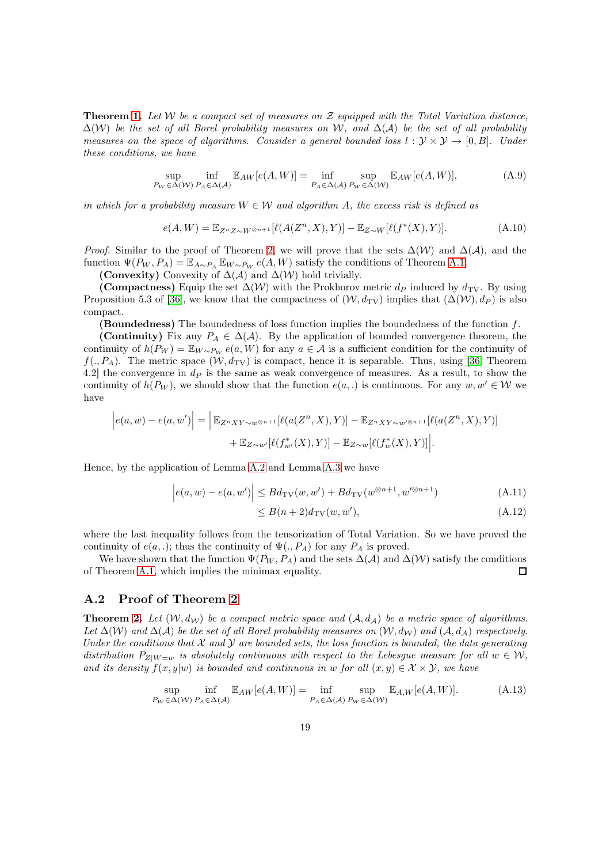Theorem [1.](#page-4-0) *Let* W *be a compact set of measures on* Z *equipped with the Total Variation distance,* ∆(W) *be the set of all Borel probability measures on* W*, and* ∆(A) *be the set of all probability measures on the space of algorithms. Consider a general bounded loss*  $l : \mathcal{Y} \times \mathcal{Y} \rightarrow [0, B]$ *. Under these conditions, we have*

$$
\sup_{P_W \in \Delta(W)} \inf_{P_A \in \Delta(\mathcal{A})} \mathbb{E}_{AW}[e(A, W)] = \inf_{P_A \in \Delta(\mathcal{A})} \sup_{P_W \in \Delta(W)} \mathbb{E}_{AW}[e(A, W)],
$$
\n(A.9)

*in which for a probability measure*  $W \in \mathcal{W}$  *and algorithm A, the excess risk is defined as* 

$$
e(A,W) = \mathbb{E}_{Z^n Z \sim W^{\otimes n+1}}[\ell(A(Z^n, X), Y)] - \mathbb{E}_{Z \sim W}[\ell(f^*(X), Y)].
$$
\n(A.10)

*Proof.* Similar to the proof of Theorem [2,](#page-4-1) we will prove that the sets  $\Delta(W)$  and  $\Delta(A)$ , and the function  $\Psi(P_W, P_A) = \mathbb{E}_{A \sim P_A} \mathbb{E}_{W \sim P_W} e(A, W)$  satisfy the conditions of Theorem [A.1.](#page-17-0)

(Convexity) Convexity of  $\Delta(\mathcal{A})$  and  $\Delta(\mathcal{W})$  hold trivially.

(Compactness) Equip the set  $\Delta(W)$  with the Prokhorov metric  $d_P$  induced by  $d_{TV}$ . By using Proposition 5.3 of [\[36\]](#page-16-18), we know that the compactness of  $(\mathcal{W}, d_{\text{TV}})$  implies that  $(\Delta(\mathcal{W}), d_P)$  is also compact.

**(Boundedness)** The boundedness of loss function implies the boundedness of the function  $f$ .

(Continuity) Fix any  $P_A \in \Delta(\mathcal{A})$ . By the application of bounded convergence theorem, the continuity of  $h(P_W) = \mathbb{E}_{W \sim P_W} e(a, W)$  for any  $a \in A$  is a sufficient condition for the continuity of  $f(., P_A)$ . The metric space  $(W, d_{TV})$  is compact, hence it is separable. Thus, using [\[36,](#page-16-18) Theorem 4.2] the convergence in  $d<sub>P</sub>$  is the same as weak convergence of measures. As a result, to show the continuity of  $h(P_W)$ , we should show that the function  $e(a,.)$  is continuous. For any  $w, w' \in W$  we have

$$
\left|e(a,w)-e(a,w')\right| = \left|\mathbb{E}_{Z^nXY\sim w^{\otimes n+1}}[\ell(a(Z^n,X),Y)] - \mathbb{E}_{Z^nXY\sim w^{\otimes n+1}}[\ell(a(Z^n,X),Y)] + \mathbb{E}_{Z\sim w'}[\ell(f_w^*(X),Y)] - \mathbb{E}_{Z\sim w}[\ell(f_w^*(X),Y)]\right|.
$$

Hence, by the application of Lemma [A.2](#page-17-3) and Lemma [A.3](#page-17-4) we have

$$
\left| e(a, w) - e(a, w') \right| \leq B d_{\text{TV}}(w, w') + B d_{\text{TV}}(w^{\otimes n+1}, w'^{\otimes n+1}) \tag{A.11}
$$

$$
\leq B(n+2)d_{\text{TV}}(w, w'),\tag{A.12}
$$

where the last inequality follows from the tensorization of Total Variation. So we have proved the continuity of  $e(a,.)$ ; thus the continuity of  $\Psi(., P_A)$  for any  $P_A$  is proved.

We have shown that the function  $\Psi(P_W, P_A)$  and the sets  $\Delta(\mathcal{A})$  and  $\Delta(\mathcal{W})$  satisfy the conditions Theorem A.1, which implies the minimax equality. of Theorem [A.1,](#page-17-0) which implies the minimax equality.

### A.2 Proof of Theorem [2](#page-4-1)

**Theorem [2.](#page-4-1)** Let  $(W, d_W)$  be a compact metric space and  $(A, d_A)$  be a metric space of algorithms. *Let*  $\Delta(W)$  *and*  $\Delta(A)$  *be the set of all Borel probability measures on*  $(W, d_W)$  *and*  $(A, d_A)$  *respectively. Under the conditions that*  $X$  *and*  $Y$  *are bounded sets, the loss function is bounded, the data generating distribution*  $P_{Z|W=w}$  *is absolutely continuous with respect to the Lebesgue measure for all*  $w \in W$ , *and its density*  $f(x, y|w)$  *is bounded and continuous in* w *for all*  $(x, y) \in \mathcal{X} \times \mathcal{Y}$ *, we have* 

$$
\sup_{P_W \in \Delta(W)} \inf_{P_A \in \Delta(\mathcal{A})} \mathbb{E}_{AW}[e(A, W)] = \inf_{P_A \in \Delta(\mathcal{A})} \sup_{P_W \in \Delta(W)} \mathbb{E}_{A, W}[e(A, W)].
$$
\n(A.13)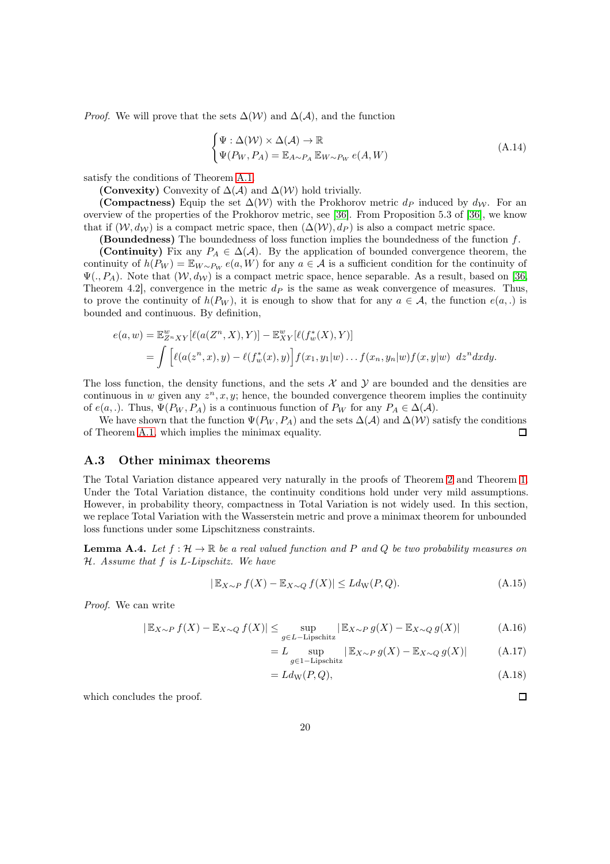*Proof.* We will prove that the sets  $\Delta(W)$  and  $\Delta(\mathcal{A})$ , and the function

$$
\begin{cases} \Psi : \Delta(W) \times \Delta(\mathcal{A}) \to \mathbb{R} \\ \Psi(P_W, P_A) = \mathbb{E}_{A \sim P_A} \mathbb{E}_{W \sim P_W} e(A, W) \end{cases} \tag{A.14}
$$

satisfy the conditions of Theorem [A.1.](#page-17-0)

(Convexity) Convexity of  $\Delta(\mathcal{A})$  and  $\Delta(\mathcal{W})$  hold trivially.

(Compactness) Equip the set  $\Delta(W)$  with the Prokhorov metric  $d_P$  induced by  $d_W$ . For an overview of the properties of the Prokhorov metric, see [\[36\]](#page-16-18). From Proposition 5.3 of [\[36\]](#page-16-18), we know that if  $(W, d_W)$  is a compact metric space, then  $(\Delta(W), d_P)$  is also a compact metric space.

**(Boundedness)** The boundedness of loss function implies the boundedness of the function  $f$ .

(Continuity) Fix any  $P_A \in \Delta(\mathcal{A})$ . By the application of bounded convergence theorem, the continuity of  $h(P_W) = \mathbb{E}_{W \sim P_W} e(a, W)$  for any  $a \in \mathcal{A}$  is a sufficient condition for the continuity of  $\Psi(., P_A)$ . Note that  $(\mathcal{W}, d_{\mathcal{W}})$  is a compact metric space, hence separable. As a result, based on [\[36,](#page-16-18) Theorem 4.2, convergence in the metric  $d<sub>P</sub>$  is the same as weak convergence of measures. Thus, to prove the continuity of  $h(P_W)$ , it is enough to show that for any  $a \in \mathcal{A}$ , the function  $e(a,.)$  is bounded and continuous. By definition,

$$
e(a, w) = \mathbb{E}_{Z^n XY}^w [\ell(a(Z^n, X), Y)] - \mathbb{E}_{XY}^w [\ell(f_w^*(X), Y)]
$$
  
= 
$$
\int [\ell(a(z^n, x), y) - \ell(f_w^*(x), y)] f(x_1, y_1|w) \dots f(x_n, y_n|w) f(x, y|w) dz^n dx dy.
$$

The loss function, the density functions, and the sets  $X$  and  $Y$  are bounded and the densities are continuous in w given any  $z^n, x, y$ ; hence, the bounded convergence theorem implies the continuity of  $e(a,.)$ . Thus,  $\Psi(P_W, P_A)$  is a continuous function of  $P_W$  for any  $P_A \in \Delta(\mathcal{A})$ .

We have shown that the function  $\Psi(P_W, P_A)$  and the sets  $\Delta(\mathcal{A})$  and  $\Delta(\mathcal{W})$  satisfy the conditions Theorem A.1, which implies the minimax equality. of Theorem [A.1,](#page-17-0) which implies the minimax equality.

### <span id="page-19-0"></span>A.3 Other minimax theorems

The Total Variation distance appeared very naturally in the proofs of Theorem [2](#page-4-1) and Theorem [1.](#page-4-0) Under the Total Variation distance, the continuity conditions hold under very mild assumptions. However, in probability theory, compactness in Total Variation is not widely used. In this section, we replace Total Variation with the Wasserstein metric and prove a minimax theorem for unbounded loss functions under some Lipschitzness constraints.

<span id="page-19-1"></span>**Lemma A.4.** Let  $f: \mathcal{H} \to \mathbb{R}$  be a real valued function and P and Q be two probability measures on H*. Assume that* f *is* L*-Lipschitz. We have*

$$
|\mathbb{E}_{X \sim P} f(X) - \mathbb{E}_{X \sim Q} f(X)| \le L d_{\mathcal{W}}(P, Q). \tag{A.15}
$$

*Proof.* We can write

$$
|\mathbb{E}_{X \sim P} f(X) - \mathbb{E}_{X \sim Q} f(X)| \le \sup_{g \in L - \text{Lipschitz}} |\mathbb{E}_{X \sim P} g(X) - \mathbb{E}_{X \sim Q} g(X)| \tag{A.16}
$$

$$
= L \sup_{g \in 1-\text{Lipschitz}} | \mathbb{E}_{X \sim P} g(X) - \mathbb{E}_{X \sim Q} g(X) | \tag{A.17}
$$

$$
= Ld_{\rm W}(P,Q),\tag{A.18}
$$

which concludes the proof.

 $\Box$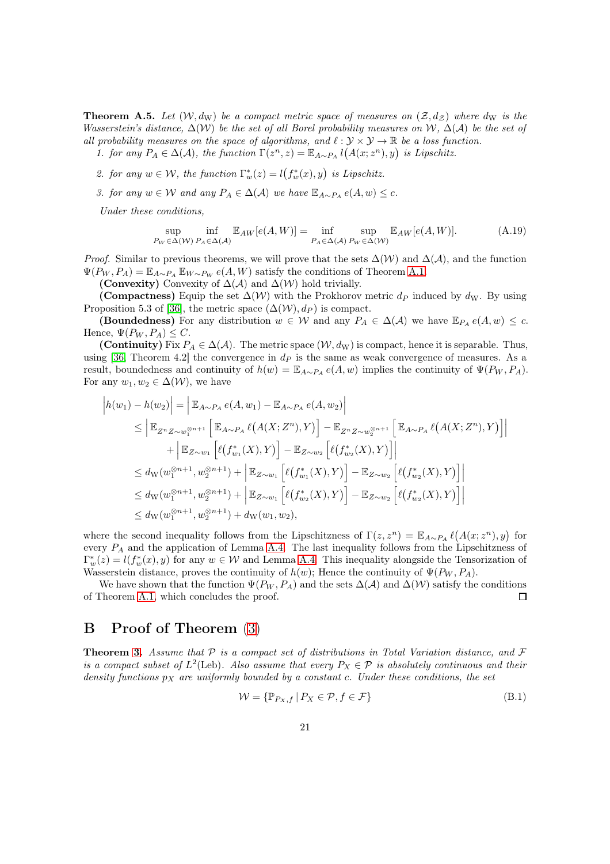**Theorem A.5.** Let  $(W, d_W)$  be a compact metric space of measures on  $(Z, d_Z)$  where  $d_W$  is the *Wasserstein's distance,* ∆(W) *be the set of all Borel probability measures on* W*,* ∆(A) *be the set of all probability measures on the space of algorithms, and*  $\ell : \mathcal{Y} \times \mathcal{Y} \rightarrow \mathbb{R}$  *be a loss function.* 

1. for any  $P_A \in \Delta(\mathcal{A})$ , the function  $\Gamma(z^n, z) = \mathbb{E}_{A \sim P_A} l(A(x; z^n), y)$  is Lipschitz.

- 2. for any  $w \in \mathcal{W}$ , the function  $\Gamma_w^*(z) = l(f_w^*(x), y)$  is Lipschitz.
- *3. for any*  $w \in W$  *and any*  $P_A \in \Delta(A)$  *we have*  $\mathbb{E}_{A \sim P_A} e(A, w) \leq c$ *.*

*Under these conditions,*

$$
\sup_{P_W \in \Delta(W)} \inf_{P_A \in \Delta(\mathcal{A})} \mathbb{E}_{AW}[e(A, W)] = \inf_{P_A \in \Delta(\mathcal{A})} \sup_{P_W \in \Delta(W)} \mathbb{E}_{AW}[e(A, W)].
$$
\n(A.19)

*Proof.* Similar to previous theorems, we will prove that the sets  $\Delta(W)$  and  $\Delta(A)$ , and the function  $\Psi(P_W, P_A) = \mathbb{E}_{A \sim P_A} \mathbb{E}_{W \sim P_W} e(A, W)$  satisfy the conditions of Theorem [A.1.](#page-17-0)

(Convexity) Convexity of  $\Delta(\mathcal{A})$  and  $\Delta(\mathcal{W})$  hold trivially.

(Compactness) Equip the set  $\Delta(W)$  with the Prokhorov metric  $d_P$  induced by  $d_W$ . By using Proposition 5.3 of [\[36\]](#page-16-18), the metric space  $(\Delta(W), d_P)$  is compact.

(Boundedness) For any distribution  $w \in W$  and any  $P_A \in \Delta(\mathcal{A})$  we have  $\mathbb{E}_{P_A} e(A, w) \leq c$ . Hence,  $\Psi(P_W, P_A) \leq C$ .

(Continuity) Fix  $P_A \in \Delta(\mathcal{A})$ . The metric space  $(\mathcal{W}, d_W)$  is compact, hence it is separable. Thus, using [\[36,](#page-16-18) Theorem 4.2] the convergence in  $d<sub>P</sub>$  is the same as weak convergence of measures. As a result, boundedness and continuity of  $h(w) = \mathbb{E}_{A \sim P_A} e(A, w)$  implies the continuity of  $\Psi(P_W, P_A)$ . For any  $w_1, w_2 \in \Delta(W)$ , we have

$$
\begin{split}\n\left| h(w_1) - h(w_2) \right| &= \left| \mathbb{E}_{A \sim P_A} e(A, w_1) - \mathbb{E}_{A \sim P_A} e(A, w_2) \right| \\
&\leq \left| \mathbb{E}_{Z^n Z \sim w_1^{\otimes n+1}} \left[ \mathbb{E}_{A \sim P_A} \ell(A(X; Z^n), Y) \right] - \mathbb{E}_{Z^n Z \sim w_2^{\otimes n+1}} \left[ \mathbb{E}_{A \sim P_A} \ell(A(X; Z^n), Y) \right] \right| \\
&\quad + \left| \mathbb{E}_{Z \sim w_1} \left[ \ell(f_{w_1}^*(X), Y) \right] - \mathbb{E}_{Z \sim w_2} \left[ \ell(f_{w_2}^*(X), Y) \right] \right| \\
&\leq d_{\mathrm{W}}(w_1^{\otimes n+1}, w_2^{\otimes n+1}) + \left| \mathbb{E}_{Z \sim w_1} \left[ \ell(f_{w_1}^*(X), Y) \right] - \mathbb{E}_{Z \sim w_2} \left[ \ell(f_{w_2}^*(X), Y) \right] \right| \\
&\leq d_{\mathrm{W}}(w_1^{\otimes n+1}, w_2^{\otimes n+1}) + \left| \mathbb{E}_{Z \sim w_1} \left[ \ell(f_{w_2}^*(X), Y) \right] - \mathbb{E}_{Z \sim w_2} \left[ \ell(f_{w_2}^*(X), Y) \right] \right| \\
&\leq d_{\mathrm{W}}(w_1^{\otimes n+1}, w_2^{\otimes n+1}) + d_{\mathrm{W}}(w_1, w_2),\n\end{split}
$$

where the second inequality follows from the Lipschitzness of  $\Gamma(z, z^n) = \mathbb{E}_{A \sim P_A} \ell(A(x; z^n), y)$  for every  $P_A$  and the application of Lemma [A.4.](#page-19-1) The last inequality follows from the Lipschitzness of  $\Gamma_w^*(z) = l(f_w^*(x), y)$  for any  $w \in \mathcal{W}$  and Lemma [A.4.](#page-19-1) This inequality alongside the Tensorization of Wasserstein distance, proves the continuity of  $h(w)$ ; Hence the continuity of  $\Psi(P_W, P_A)$ .

We have shown that the function  $\Psi(P_W, P_A)$  and the sets  $\Delta(\mathcal{A})$  and  $\Delta(\mathcal{W})$  satisfy the conditions Theorem A.1, which concludes the proof. of Theorem [A.1,](#page-17-0) which concludes the proof.

# B Proof of Theorem [\(3\)](#page-5-1)

Theorem [3.](#page-5-1) *Assume that* P *is a compact set of distributions in Total Variation distance, and* F *is a compact subset of*  $L^2$ (Leb)*. Also assume that every*  $P_X \in \mathcal{P}$  *is absolutely continuous and their density functions*  $p<sub>X</sub>$  *are uniformly bounded by a constant c. Under these conditions, the set* 

$$
\mathcal{W} = \{ \mathbb{P}_{P_X, f} \mid P_X \in \mathcal{P}, f \in \mathcal{F} \}
$$
\n(B.1)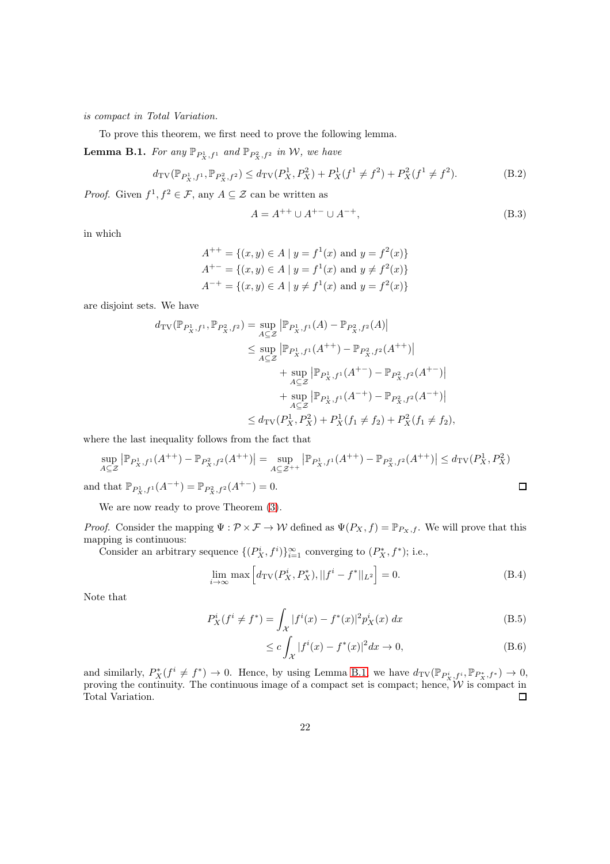*is compact in Total Variation.*

To prove this theorem, we first need to prove the following lemma.

<span id="page-21-0"></span>**Lemma B.1.** For any  $\mathbb{P}_{P_X^1, f^1}$  and  $\mathbb{P}_{P_X^2, f^2}$  in W, we have

$$
d_{\mathrm{TV}}(\mathbb{P}_{P_X^1, f^1}, \mathbb{P}_{P_X^2, f^2}) \le d_{\mathrm{TV}}(P_X^1, P_X^2) + P_X^1(f^1 \ne f^2) + P_X^2(f^1 \ne f^2). \tag{B.2}
$$

*Proof.* Given  $f^1, f^2 \in \mathcal{F}$ , any  $A \subseteq \mathcal{Z}$  can be written as

$$
A = A^{++} \cup A^{+-} \cup A^{-+},\tag{B.3}
$$

in which

$$
A^{++} = \{(x, y) \in A \mid y = f^1(x) \text{ and } y = f^2(x)\}
$$
  

$$
A^{+-} = \{(x, y) \in A \mid y = f^1(x) \text{ and } y \neq f^2(x)\}
$$
  

$$
A^{-+} = \{(x, y) \in A \mid y \neq f^1(x) \text{ and } y = f^2(x)\}
$$

are disjoint sets. We have

$$
d_{\text{TV}}(\mathbb{P}_{P_X^1, f^1}, \mathbb{P}_{P_X^2, f^2}) = \sup_{A \subseteq \mathcal{Z}} |\mathbb{P}_{P_X^1, f^1}(A) - \mathbb{P}_{P_X^2, f^2}(A)|
$$
  
\n
$$
\leq \sup_{A \subseteq \mathcal{Z}} |\mathbb{P}_{P_X^1, f^1}(A^{++}) - \mathbb{P}_{P_X^2, f^2}(A^{++})|
$$
  
\n
$$
+ \sup_{A \subseteq \mathcal{Z}} |\mathbb{P}_{P_X^1, f^1}(A^{+-}) - \mathbb{P}_{P_X^2, f^2}(A^{+-})|
$$
  
\n
$$
+ \sup_{A \subseteq \mathcal{Z}} |\mathbb{P}_{P_X^1, f^1}(A^{-+}) - \mathbb{P}_{P_X^2, f^2}(A^{-+})|
$$
  
\n
$$
\leq d_{\text{TV}}(P_X^1, P_X^2) + P_X^1(f_1 \neq f_2) + P_X^2(f_1 \neq f_2),
$$

where the last inequality follows from the fact that

$$
\sup_{A \subseteq \mathcal{Z}} |\mathbb{P}_{P_X^1, f^1}(A^{++}) - \mathbb{P}_{P_X^2, f^2}(A^{++})| = \sup_{A \subseteq \mathcal{Z}^{++}} |\mathbb{P}_{P_X^1, f^1}(A^{++}) - \mathbb{P}_{P_X^2, f^2}(A^{++})| \le d_{\text{TV}}(P_X^1, P_X^2)
$$
  
and that  $\mathbb{P}_{P_X^1, f^1}(A^{++}) = \mathbb{P}_{P_X^2, f^2}(A^{+-}) = 0.$ 

We are now ready to prove Theorem  $(3)$ .

*Proof.* Consider the mapping  $\Psi : \mathcal{P} \times \mathcal{F} \to \mathcal{W}$  defined as  $\Psi(P_X, f) = \mathbb{P}_{P_X, f}$ . We will prove that this mapping is continuous:

Consider an arbitrary sequence  $\{(P_X^i, f^i)\}_{i=1}^{\infty}$  converging to  $(P_X^*, f^*)$ ; i.e.,

$$
\lim_{i \to \infty} \max \left[ d_{\rm TV}(P_X^i, P_X^*), ||f^i - f^*||_{L^2} \right] = 0.
$$
\n(B.4)

Note that

$$
P_X^i(f^i \neq f^*) = \int_{\mathcal{X}} |f^i(x) - f^*(x)|^2 p_X^i(x) dx
$$
 (B.5)

$$
\leq c \int_{\mathcal{X}} |f^{i}(x) - f^{*}(x)|^{2} dx \to 0,
$$
\n(B.6)

and similarly,  $P_X^*(f^i \neq f^*) \to 0$ . Hence, by using Lemma [B.1,](#page-21-0) we have  $d_{TV}(\mathbb{P}_{P_X^i,f^i}, \mathbb{P}_{P_X^*,f^*}) \to 0$ , proving the continuity. The continuous image of a compact set is compact; hence,  $W$  is compact in Total Variation.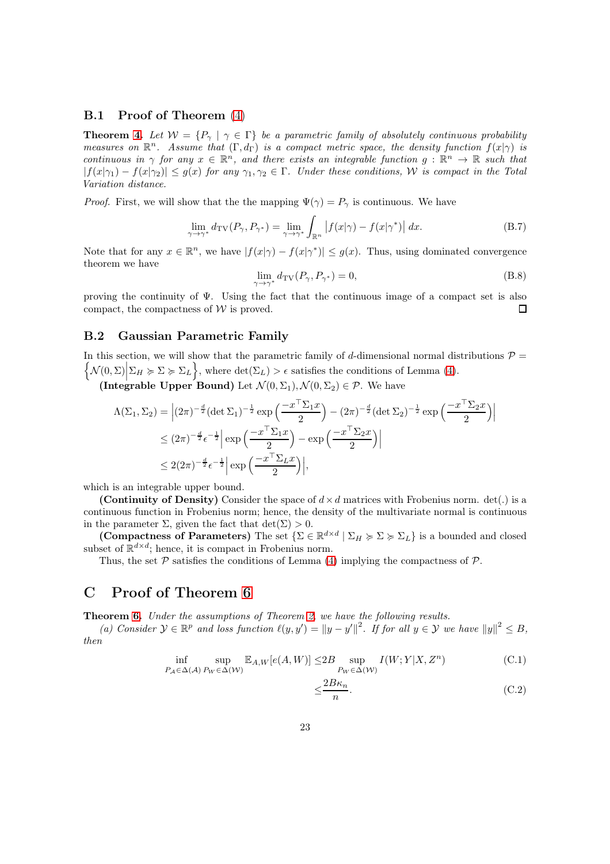#### B.1 Proof of Theorem [\(4\)](#page-5-2)

**Theorem [4.](#page-5-2)** Let  $W = \{P_{\gamma} \mid \gamma \in \Gamma\}$  be a parametric family of absolutely continuous probability *measures on*  $\mathbb{R}^n$ . Assume that  $(\Gamma, d_{\Gamma})$  *is a compact metric space, the density function*  $f(x|\gamma)$  *is continuous in*  $\gamma$  *for any*  $x \in \mathbb{R}^n$ *, and there exists an integrable function*  $g : \mathbb{R}^n \to \mathbb{R}$  *such that*  $|f(x|\gamma_1) - f(x|\gamma_2)| \leq g(x)$  *for any*  $\gamma_1, \gamma_2 \in \Gamma$ . *Under these conditions, W is compact in the Total Variation distance.*

*Proof.* First, we will show that the the mapping  $\Psi(\gamma) = P_{\gamma}$  is continuous. We have

$$
\lim_{\gamma \to \gamma^*} d_{\rm TV}(P_{\gamma}, P_{\gamma^*}) = \lim_{\gamma \to \gamma^*} \int_{\mathbb{R}^n} \left| f(x|\gamma) - f(x|\gamma^*) \right| dx.
$$
 (B.7)

Note that for any  $x \in \mathbb{R}^n$ , we have  $|f(x|\gamma) - f(x|\gamma^*)| \le g(x)$ . Thus, using dominated convergence theorem we have

$$
\lim_{\gamma \to \gamma^*} d_{\rm TV}(P_{\gamma}, P_{\gamma^*}) = 0,
$$
\n(B.8)

proving the continuity of Ψ. Using the fact that the continuous image of a compact set is also compact, the compactness of  $W$  is proved.  $\Box$ 

### <span id="page-22-0"></span>B.2 Gaussian Parametric Family

In this section, we will show that the parametric family of d-dimensional normal distributions  $\mathcal{P} =$  $\left\{\mathcal{N}(0,\Sigma)\Big|\Sigma_H \succcurlyeq \Sigma \succcurlyeq \Sigma_L\right\}$ , where  $\det(\Sigma_L) > \epsilon$  satisfies the conditions of Lemma [\(4\)](#page-5-2).

(Integrable Upper Bound) Let  $\mathcal{N}(0, \Sigma_1), \mathcal{N}(0, \Sigma_2) \in \mathcal{P}$ . We have

$$
\Lambda(\Sigma_1, \Sigma_2) = \left| (2\pi)^{-\frac{d}{2}} (\det \Sigma_1)^{-\frac{1}{2}} \exp\left(\frac{-x^{\top} \Sigma_1 x}{2}\right) - (2\pi)^{-\frac{d}{2}} (\det \Sigma_2)^{-\frac{1}{2}} \exp\left(\frac{-x^{\top} \Sigma_2 x}{2}\right) \right|
$$
  
\n
$$
\leq (2\pi)^{-\frac{d}{2}} \epsilon^{-\frac{1}{2}} \left| \exp\left(\frac{-x^{\top} \Sigma_1 x}{2}\right) - \exp\left(\frac{-x^{\top} \Sigma_2 x}{2}\right) \right|
$$
  
\n
$$
\leq 2(2\pi)^{-\frac{d}{2}} \epsilon^{-\frac{1}{2}} \left| \exp\left(\frac{-x^{\top} \Sigma_L x}{2}\right) \right|,
$$

which is an integrable upper bound.

(Continuity of Density) Consider the space of  $d \times d$  matrices with Frobenius norm. det(.) is a continuous function in Frobenius norm; hence, the density of the multivariate normal is continuous in the parameter  $\Sigma$ , given the fact that  $\det(\Sigma) > 0$ .

(Compactness of Parameters) The set  $\{\Sigma \in \mathbb{R}^{d \times d} \mid \Sigma_H \succcurlyeq \Sigma \succcurlyeq \Sigma_L\}$  is a bounded and closed subset of  $\mathbb{R}^{d \times d}$ ; hence, it is compact in Frobenius norm.

Thus, the set  $P$  satisfies the conditions of Lemma [\(4\)](#page-5-2) implying the compactness of  $P$ .

### C Proof of Theorem [6](#page-7-0)

Theorem [6.](#page-7-0) *Under the assumptions of Theorem [2,](#page-4-1) we have the following results.*

*(a) Consider*  $\mathcal{Y} \in \mathbb{R}^p$  *and loss function*  $\ell(y, y') = ||y - y'||^2$ . If for all  $y \in \mathcal{Y}$  we have  $||y||^2 \leq B$ , *then*

$$
\inf_{P_A \in \Delta(\mathcal{A})} \sup_{P_W \in \Delta(\mathcal{W})} \mathbb{E}_{A,W}[e(A, W)] \le 2B \sup_{P_W \in \Delta(\mathcal{W})} I(W; Y | X, Z^n)
$$
(C.1)

$$
\leq \frac{2B\kappa_n}{n}.\tag{C.2}
$$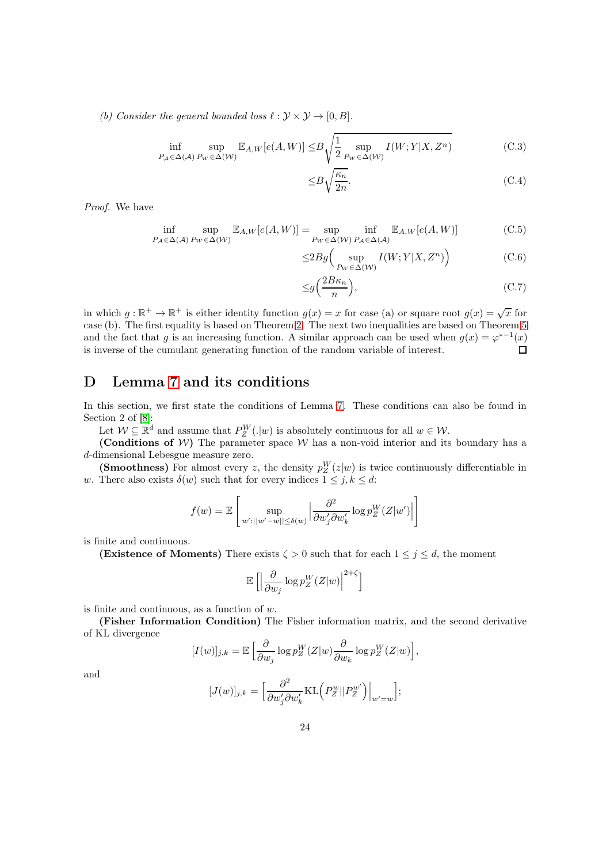*(b)* Consider the general bounded loss  $\ell : \mathcal{Y} \times \mathcal{Y} \rightarrow [0, B].$ 

$$
\inf_{P_A \in \Delta(\mathcal{A})} \sup_{P_W \in \Delta(\mathcal{W})} \mathbb{E}_{A,W}[e(A, W)] \leq B \sqrt{\frac{1}{2} \sup_{P_W \in \Delta(\mathcal{W})} I(W; Y | X, Z^n)} \tag{C.3}
$$

$$
\leq B\sqrt{\frac{\kappa_n}{2n}}.\tag{C.4}
$$

*Proof.* We have

$$
\inf_{P_A \in \Delta(\mathcal{A})} \sup_{P_W \in \Delta(\mathcal{W})} \mathbb{E}_{A,W}[e(A, W)] = \sup_{P_W \in \Delta(\mathcal{W})} \inf_{P_A \in \Delta(\mathcal{A})} \mathbb{E}_{A,W}[e(A, W)] \tag{C.5}
$$

$$
\leq 2Bg\Big(\sup_{P_W \in \Delta(\mathcal{W})} I(W;Y|X,Z^n)\Big) \tag{C.6}
$$

$$
\leq g\left(\frac{2B\kappa_n}{n}\right),\tag{C.7}
$$

in which  $g: \mathbb{R}^+ \to \mathbb{R}^+$  is either identity function  $g(x) = x$  for case (a) or square root  $g(x) = \sqrt{x}$  for case (b). The first equality is based on Theorem [2.](#page-4-1) The next two inequalities are based on Theorem [5](#page-6-1) and the fact that g is an increasing function. A similar approach can be used when  $g(x) = \varphi^{*-1}(x)$ is inverse of the cumulant generating function of the random variable of interest.  $\Box$ 

# D Lemma [7](#page-8-0) and its conditions

In this section, we first state the conditions of Lemma [7.](#page-8-0) These conditions can also be found in Section 2 of [\[8\]](#page-15-14):

Let  $W \subseteq \mathbb{R}^d$  and assume that  $P_Z^W(.|w)$  is absolutely continuous for all  $w \in W$ .

(Conditions of W) The parameter space W has a non-void interior and its boundary has a d-dimensional Lebesgue measure zero.

(Smoothness) For almost every z, the density  $p_Z^W(z|w)$  is twice continuously differentiable in w. There also exists  $\delta(w)$  such that for every indices  $1 \leq j, k \leq d$ :

$$
f(w) = \mathbb{E}\left[\sup_{w':||w'-w|| \le \delta(w)} \left|\frac{\partial^2}{\partial w'_j \partial w'_k} \log p_Z^W(Z|w')\right|\right]
$$

is finite and continuous.

(Existence of Moments) There exists  $\zeta > 0$  such that for each  $1 \leq j \leq d$ , the moment

$$
\mathbb{E}\left[\left|\frac{\partial}{\partial w_j}\log p_Z^W(Z|w)\right|^{2+\zeta}\right]
$$

is finite and continuous, as a function of  $w$ .

(Fisher Information Condition) The Fisher information matrix, and the second derivative of KL divergence

$$
[I(w)]_{j,k} = \mathbb{E}\left[\frac{\partial}{\partial w_j}\log p_Z^W(Z|w)\frac{\partial}{\partial w_k}\log p_Z^W(Z|w)\right],
$$

and

$$
[J(w)]_{j,k} = \left[\frac{\partial^2}{\partial w'_j \partial w'_k} \text{KL}\left(P_Z^w || P_Z^{w'}\right)\right]_{w'=w}];
$$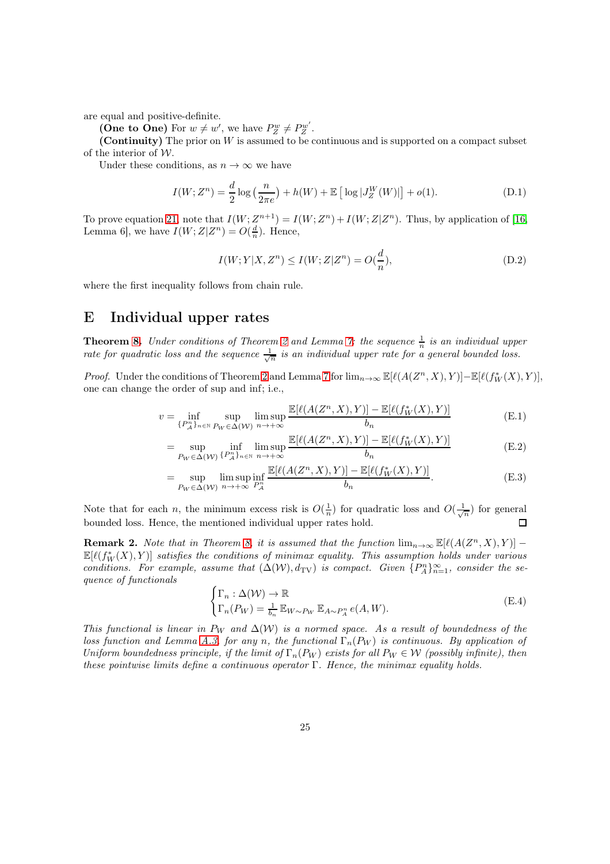are equal and positive-definite.

(One to One) For  $w \neq w'$ , we have  $P_Z^w \neq P_Z^{w'}$  $Z^{w'}$  .

(Continuity) The prior on W is assumed to be continuous and is supported on a compact subset of the interior of  $W$ .

Under these conditions, as  $n \to \infty$  we have

$$
I(W; Z^n) = \frac{d}{2} \log \left( \frac{n}{2\pi e} \right) + h(W) + \mathbb{E} \left[ \log |J_Z^W(W)| \right] + o(1).
$$
 (D.1)

To prove equation [21,](#page-8-1) note that  $I(W; Z^{n+1}) = I(W; Z^n) + I(W; Z|Z^n)$ . Thus, by application of [\[16,](#page-15-16) Lemma 6], we have  $I(W; Z|Z^n) = O(\frac{d}{n})$ . Hence,

$$
I(W; Y|X, Z^n) \le I(W; Z|Z^n) = O(\frac{d}{n}),
$$
\n(D.2)

where the first inequality follows from chain rule.

# E Individual upper rates

**Theorem [8.](#page-8-4)** *Under conditions of Theorem [2](#page-4-1) and Lemma [7:](#page-8-0) the sequence*  $\frac{1}{n}$  *is an individual upper rate for quadratic loss and the sequence*  $\frac{1}{\sqrt{n}}$  *is an individual upper rate for a general bounded loss.* 

*Proof.* Under the conditions of Theorem [2](#page-4-1) and Lemma [7](#page-8-0) for  $\lim_{n\to\infty} \mathbb{E}[\ell(A(Z^n,X),Y)] - \mathbb{E}[\ell(f_W^*(X),Y)],$ one can change the order of sup and inf; i.e.,

$$
v = \inf_{\{P_A^n\}_{n \in \mathbb{N}} \sup_{P_W \in \Delta(W)} \limsup_{n \to +\infty} \frac{\mathbb{E}[\ell(A(Z^n, X), Y)] - \mathbb{E}[\ell(f_W^*(X), Y)]}{b_n}
$$
(E.1)

$$
= \sup_{P_W \in \Delta(W)} \inf_{\{P_A^n\}_{n \in \mathbb{N}}} \limsup_{n \to +\infty} \frac{\mathbb{E}[\ell(A(Z^n, X), Y)] - \mathbb{E}[\ell(f_W^*(X), Y)]}{b_n}
$$
(E.2)

$$
= \sup_{P_W \in \Delta(W)} \limsup_{n \to +\infty} \inf_{P_A^n} \frac{\mathbb{E}[\ell(A(Z^n, X), Y)] - \mathbb{E}[\ell(f_W^*(X), Y)]}{b_n}.
$$
 (E.3)

Note that for each *n*, the minimum excess risk is  $O(\frac{1}{n})$  for quadratic loss and  $O(\frac{1}{\sqrt{n}})$  for general bounded loss. Hence, the mentioned individual upper rates hold.  $\Box$ 

**Remark 2.** *Note that in Theorem [8,](#page-8-4) it is assumed that the function*  $\lim_{n\to\infty} \mathbb{E}[\ell(A(Z^n, X), Y)]$  –  $\mathbb{E}[\ell(f_W^*(X), Y)]$  *satisfies the conditions of minimax equality. This assumption holds under various conditions. For example, assume that*  $(\Delta(W), d_{TV})$  *is compact. Given*  $\{P_A^n\}_{n=1}^{\infty}$ *, consider the sequence of functionals*

$$
\begin{cases} \Gamma_n : \Delta(W) \to \mathbb{R} \\ \Gamma_n(P_W) = \frac{1}{b_n} \mathbb{E}_{W \sim P_W} \mathbb{E}_{A \sim P_A^n} e(A, W). \end{cases} \tag{E.4}
$$

*This functional is linear in*  $P_W$  *and*  $\Delta(W)$  *is a normed space. As a result of boundedness of the loss function and Lemma [A.3,](#page-17-4) for any n, the functional*  $\Gamma_n(P_W)$  *is continuous. By application of Uniform boundedness principle, if the limit of*  $\Gamma_n(P_W)$  *exists for all*  $P_W \in \mathcal{W}$  *(possibly infinite), then these pointwise limits define a continuous operator* Γ*. Hence, the minimax equality holds.*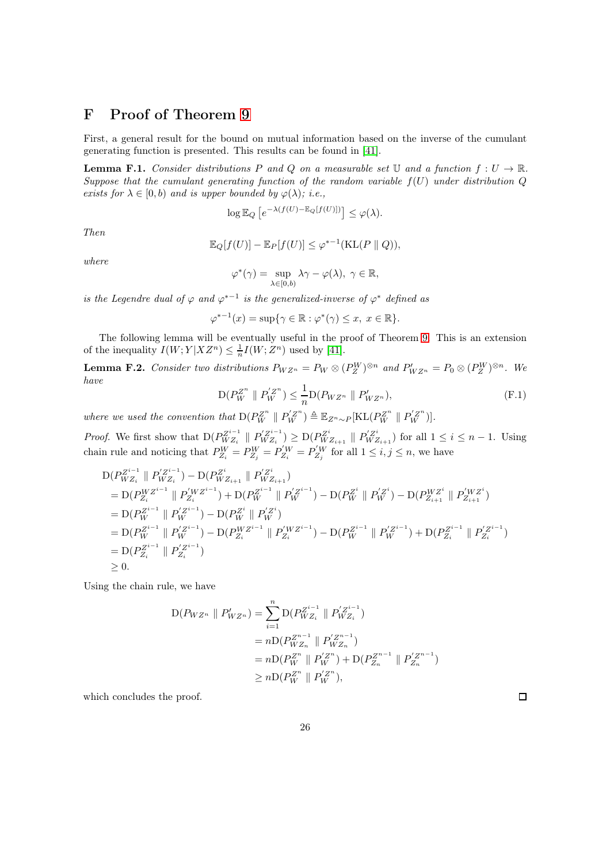# F Proof of Theorem [9](#page-11-0)

First, a general result for the bound on mutual information based on the inverse of the cumulant generating function is presented. This results can be found in [\[41\]](#page-16-5).

<span id="page-25-0"></span>**Lemma F.1.** Consider distributions P and Q on a measurable set U and a function  $f: U \to \mathbb{R}$ . *Suppose that the cumulant generating function of the random variable* f(U) *under distribution* Q *exists for*  $\lambda \in [0, b)$  *and is upper bounded by*  $\varphi(\lambda)$ *; i.e.,* 

$$
\log \mathbb{E}_Q \left[ e^{-\lambda (f(U) - \mathbb{E}_Q[f(U)])} \right] \le \varphi(\lambda).
$$

*Then*

$$
\mathbb{E}_Q[f(U)] - \mathbb{E}_P[f(U)] \le \varphi^{*-1}(\text{KL}(P \parallel Q)),
$$

*where*

$$
\varphi^*(\gamma)=\sup_{\lambda\in[0,b)}\lambda\gamma-\varphi(\lambda),\ \gamma\in\mathbb{R},
$$

*is the Legendre dual of*  $\varphi$  *and*  $\varphi^{*-1}$  *is the generalized-inverse of*  $\varphi^*$  *defined as* 

$$
\varphi^{*-1}(x) = \sup\{\gamma \in \mathbb{R} : \varphi^*(\gamma) \le x, \ x \in \mathbb{R}\}.
$$

The following lemma will be eventually useful in the proof of Theorem [9.](#page-11-0) This is an extension of the inequality  $I(W; Y|XZ^n) \leq \frac{1}{n}I(W; Z^n)$  used by [\[41\]](#page-16-5).

<span id="page-25-1"></span>**Lemma F.2.** Consider two distributions  $P_{WZ^n} = P_W \otimes (P_Z^W)^{\otimes n}$  and  $P'_{WZ^n} = P_0 \otimes (P_Z^W)^{\otimes n}$ . We *have*

$$
D(P_W^{Z^n} \parallel P_W^{'Z^n}) \le \frac{1}{n} D(P_{WZ^n} \parallel P_{WZ^n}'),
$$
\n(F.1)

*where we used the convention that*  $D(P_W^{Z^n} \parallel P_W^{Z^n}) \triangleq \mathbb{E}_{Z^n \sim P}[\text{KL}(P_W^{Z^n} \parallel P_W^{Z^n})].$ 

*Proof.* We first show that  $D(P_{WZ_i}^{Z^{i-1}})$  $WZ_i \parallel P_{WZ_i}^{'Z^{i-1}}$  $W_{WZ_i}^{Z^{i-1}}$ )  $\geq D(P_{WZ_{i+1}}^{Z^i} \parallel P_{WZ_{i+1}}^{Z^{i}})$  for all  $1 \leq i \leq n-1$ . Using chain rule and noticing that  $P_{Z_i}^W = P_{Z_j}^W = P_{Z_i}^{'W} = P_{Z_j}^{'W}$  for all  $1 \le i, j \le n$ , we have

$$
D(P_{WZ_i}^{Z^{i-1}} \| P_{WZ_i}^{Z^{i-1}}) - D(P_{WZ_{i+1}}^{Z^i} \| P_{WZ_{i+1}}^{Z^i})
$$
  
\n
$$
= D(P_{Z_i}^{WZ^{i-1}} \| P_{Z_i}^{WZ^{i-1}}) + D(P_{W}^{Z^{i-1}} \| P_{W}^{Z^{i-1}}) - D(P_{W}^{Z^i} \| P_{W}^{Z^i}) - D(P_{Z_{i+1}}^{WZ^i} \| P_{Z_{i+1}}^{WZ^i})
$$
  
\n
$$
= D(P_{W}^{Z^{i-1}} \| P_{W}^{Z^{i-1}}) - D(P_{W}^{Z^i} \| P_{W}^{Z^i})
$$
  
\n
$$
= D(P_{W}^{Z^{i-1}} \| P_{W}^{Z^{i-1}}) - D(P_{Z_i}^{WZ^{i-1}} \| P_{Z_i}^{WZ^{i-1}}) - D(P_{W}^{Z^{i-1}} \| P_{W}^{Z^{i-1}}) + D(P_{Z_i}^{Z^{i-1}} \| P_{Z_i}^{Z^{i-1}})
$$
  
\n
$$
= D(P_{Z_i}^{Z^{i-1}} \| P_{Z_i}^{Z^{i-1}})
$$
  
\n
$$
\geq 0.
$$

Using the chain rule, we have

$$
D(P_{WZ^n} \parallel P'_{WZ^n}) = \sum_{i=1}^n D(P_{WZ_i}^{Z^{i-1}} \parallel P'_{WZ_i}^{Z^{i-1}})
$$
  
=  $nD(P_{WZ_n}^{Z^{n-1}} \parallel P'_{WZ_n}^{Z^{n-1}})$   
=  $nD(P_W^{Z^n} \parallel P_W^{'Z^n}) + D(P_{Z_n}^{Z^{n-1}} \parallel P'_{Z_n}^{Z^{n-1}})$   
 $\ge nD(P_W^{Z^n} \parallel P_W^{'Z^n}),$ 

which concludes the proof.

 $\Box$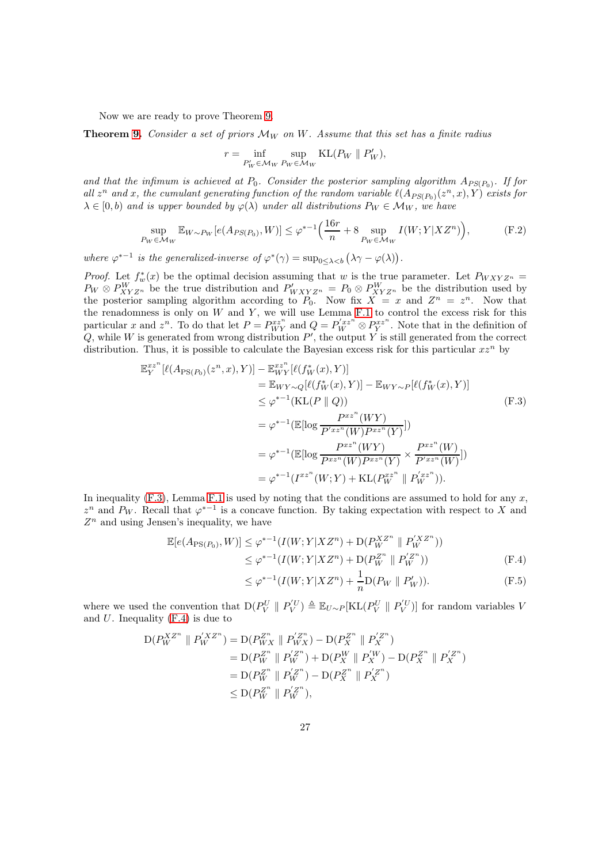Now we are ready to prove Theorem [9.](#page-11-0)

**Theorem [9.](#page-11-0)** *Consider a set of priors*  $\mathcal{M}_W$  *on* W. Assume that this set has a finite radius

<span id="page-26-3"></span>
$$
r = \inf_{P'_W \in \mathcal{M}_W} \sup_{P_W \in \mathcal{M}_W} \text{KL}(P_W \parallel P'_W),
$$

and that the infimum is achieved at  $P_0$ . Consider the posterior sampling algorithm  $A_{PS(P_0)}$ . If for all  $z^n$  and x, the cumulant generating function of the random variable  $\ell(A_{PS(P_0)}(z^n, x), Y)$  exists for  $\lambda \in [0, b)$  *and is upper bounded by*  $\varphi(\lambda)$  *under all distributions*  $P_W \in \mathcal{M}_W$ *, we have* 

$$
\sup_{P_W \in \mathcal{M}_W} \mathbb{E}_{W \sim P_W} [e(A_{PS(P_0)}, W)] \le \varphi^{*-1} \left( \frac{16r}{n} + 8 \sup_{P_W \in \mathcal{M}_W} I(W; Y | X Z^n) \right), \tag{F.2}
$$

where  $\varphi^{*-1}$  is the generalized-inverse of  $\varphi^*(\gamma) = \sup_{0 \leq \lambda < b} (\lambda \gamma - \varphi(\lambda)).$ 

*Proof.* Let  $f_w^*(x)$  be the optimal decision assuming that w is the true parameter. Let  $P_{WXYZ^n} =$  $P_W \otimes P_{XYZ^n}^W$  be the true distribution and  $P'_{WXYZ^n} = P_0 \otimes P_{XYZ^n}^W$  be the distribution used by the posterior sampling algorithm according to  $P_0$ . Now fix  $X = x$  and  $Z^n = z^n$ . Now that the renadomness is only on  $W$  and  $Y$ , we will use Lemma [F.1](#page-25-0) to control the excess risk for this particular x and  $z^n$ . To do that let  $P = P_{WY}^{xz^n}$  and  $Q = P_W^{'xz^n} \otimes P_Y^{xz^n}$ . Note that in the definition of  $Q$ , while W is generated from wrong distribution  $P'$ , the output Y is still generated from the correct distribution. Thus, it is possible to calculate the Bayesian excess risk for this particular  $xz<sup>n</sup>$  by

$$
\mathbb{E}_{Y}^{xz^{n}}[\ell(A_{\text{PS}(P_{0})}(z^{n}, x), Y)] - \mathbb{E}_{WY}^{xz^{n}}[\ell(f_{W}^{*}(x), Y)]
$$
\n
$$
= \mathbb{E}_{WY \sim Q}[\ell(f_{W}^{*}(x), Y)] - \mathbb{E}_{WY \sim P}[\ell(f_{W}^{*}(x), Y)]
$$
\n
$$
\leq \varphi^{*-1}(\text{KL}(P \parallel Q))
$$
\n
$$
= \varphi^{*-1}(\mathbb{E}[\log \frac{P^{xz^{n}}(WY)}{P'^{xz^{n}}(W)P^{xz^{n}}(Y)}])
$$
\n
$$
= \varphi^{*-1}(\mathbb{E}[\log \frac{P^{xz^{n}}(WY)}{P^{xz^{n}}(W)P^{xz^{n}}(Y)} \times \frac{P^{xz^{n}}(W)}{P'^{xz^{n}}(W)})]
$$
\n
$$
= \varphi^{*-1}(I^{xz^{n}}(W; Y) + \text{KL}(P_{W}^{xz^{n}} \parallel P_{W}^{'xz^{n}})).
$$
\n(F.3)

In inequality  $(F.3)$ , Lemma [F.1](#page-25-0) is used by noting that the conditions are assumed to hold for any x,  $z^n$  and  $P_W$ . Recall that  $\varphi^{*-1}$  is a concave function. By taking expectation with respect to X and  $Z<sup>n</sup>$  and using Jensen's inequality, we have

$$
\mathbb{E}[e(A_{\text{PS}(P_0)}, W)] \leq \varphi^{*-1}(I(W; Y | X Z^n) + D(P_W^{X Z^n} \parallel P_W^{X Z^n}))
$$
  
 
$$
\leq \varphi^{*-1}(I(W; Y | X Z^n) + D(P_W^{Z^n} \parallel P_W^{Y Z^n}))
$$
 (F.4)

<span id="page-26-2"></span><span id="page-26-1"></span><span id="page-26-0"></span>
$$
\leq \varphi^{*-1}(I(W;Y|XZ^n) + \frac{1}{n}\mathcal{D}(P_W \parallel P'_W)).
$$
 (F.5)

where we used the convention that  $D(P_V^U \parallel P_V^{'U}) \triangleq \mathbb{E}_{U \sim P}[\text{KL}(P_V^U \parallel P_V^{'U})]$  for random variables V and  $U$ . Inequality  $(F.4)$  is due to

$$
D(P_W^{XZ^n} \parallel P_W^{XZ^n}) = D(P_{WX}^{Z^n} \parallel P_{WX}^{Z^n}) - D(P_X^{Z^n} \parallel P_X^{Z^n})
$$
  
= 
$$
D(P_W^{Z^n} \parallel P_W^{Z^n}) + D(P_X^W \parallel P_X^{W}) - D(P_X^{Z^n} \parallel P_X^{Z^n})
$$
  
= 
$$
D(P_W^{Z^n} \parallel P_W^{Z^n}) - D(P_X^{Z^n} \parallel P_X^{Z^n})
$$
  
\$\leq\$ 
$$
D(P_W^{Z^n} \parallel P_W^{Z^n})
$$
,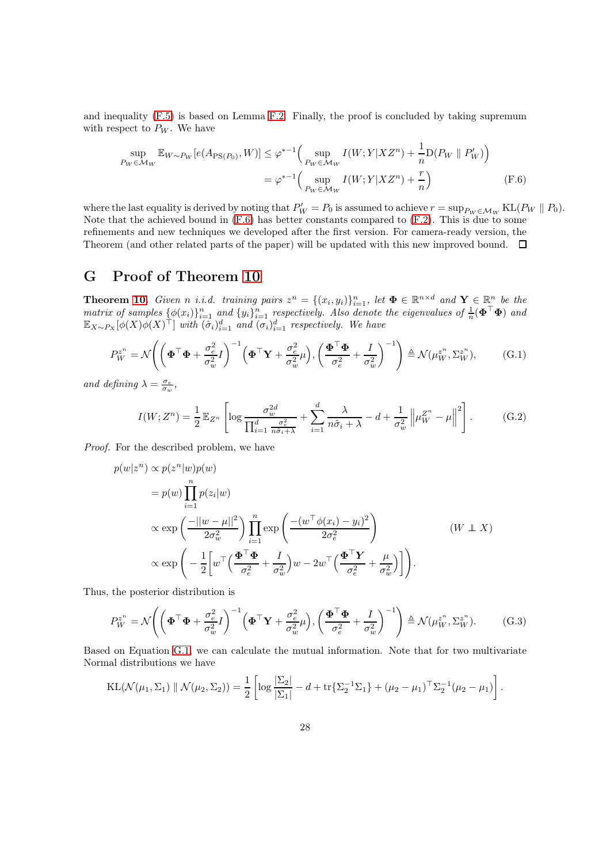and inequality [\(F.5\)](#page-26-2) is based on Lemma [F.2.](#page-25-1) Finally, the proof is concluded by taking supremum with respect to  $P_W$ . We have

<span id="page-27-1"></span>
$$
\sup_{P_W \in \mathcal{M}_W} \mathbb{E}_{W \sim P_W} [e(A_{\text{PS}(P_0)}, W)] \le \varphi^{*-1} \Big( \sup_{P_W \in \mathcal{M}_W} I(W; Y | X Z^n) + \frac{1}{n} \mathcal{D}(P_W \parallel P'_W) \Big)
$$
  
=  $\varphi^{*-1} \Big( \sup_{P_W \in \mathcal{M}_W} I(W; Y | X Z^n) + \frac{r}{n} \Big)$  (F.6)

where the last equality is derived by noting that  $P'_W = P_0$  is assumed to achieve  $r = \sup_{P_W \in \mathcal{M}_W} \text{KL}(P_W || P_0)$ . Note that the achieved bound in [\(F.6\)](#page-27-1) has better constants compared to [\(F.2\)](#page-26-3). This is due to some refinements and new techniques we developed after the first version. For camera-ready version, the Theorem (and other related parts of the paper) will be updated with this new improved bound.  $\Box$ 

### G Proof of Theorem [10](#page-11-1)

**Theorem [10.](#page-11-1)** *Given n i.i.d.* training pairs  $z^n = \{(x_i, y_i)\}_{i=1}^n$ , let  $\Phi \in \mathbb{R}^{n \times d}$  and  $\mathbf{Y} \in \mathbb{R}^n$  be the  $matrix\ of\ samples\ \{\phi(x_i)\}_{i=1}^n$  and  $\{y_i\}_{i=1}^n$  respectively. Also denote the eigenvalues of  $\frac{1}{n}(\mathbf{\Phi}^\top\mathbf{\Phi})$  and  $\mathbb{E}_{X \sim P_X} [\phi(X) \phi(X)^\top]$  *with*  $(\tilde{\sigma}_i)_{i=1}^d$  *and*  $(\sigma_i)_{i=1}^d$  *respectively. We have* 

$$
P_W^{z^n} = \mathcal{N}\left(\left(\mathbf{\Phi}^\top \mathbf{\Phi} + \frac{\sigma_e^2}{\sigma_w^2} I\right)^{-1} \left(\mathbf{\Phi}^\top \mathbf{Y} + \frac{\sigma_e^2}{\sigma_w^2} \mu\right), \left(\frac{\mathbf{\Phi}^\top \mathbf{\Phi}}{\sigma_e^2} + \frac{I}{\sigma_w^2}\right)^{-1}\right) \triangleq \mathcal{N}(\mu_W^{z^n}, \Sigma_W^{z^n}),\tag{G.1}
$$

*and defining*  $\lambda = \frac{\sigma_e}{\sigma_w}$ ,

<span id="page-27-0"></span>
$$
I(W; Z^n) = \frac{1}{2} \mathbb{E}_{Z^n} \left[ \log \frac{\sigma_w^{2d}}{\prod_{i=1}^d \frac{\sigma_e^2}{n\hat{\sigma}_i + \lambda}} + \sum_{i=1}^d \frac{\lambda}{n\hat{\sigma}_i + \lambda} - d + \frac{1}{\sigma_w^2} \left\| \mu_W^{Z^n} - \mu \right\|^2 \right].
$$
 (G.2)

*Proof.* For the described problem, we have

$$
p(w|z^n) \propto p(z^n|w)p(w)
$$
  
=  $p(w)\prod_{i=1}^n p(z_i|w)$   

$$
\propto \exp\left(\frac{-||w-\mu||^2}{2\sigma_w^2}\right) \prod_{i=1}^n \exp\left(\frac{-(w^\top \phi(x_i) - y_i)^2}{2\sigma_e^2}\right)
$$
  

$$
\propto \exp\left(-\frac{1}{2}\left[w^\top \left(\frac{\mathbf{\Phi}^\top \mathbf{\Phi}}{\sigma_e^2} + \frac{I}{\sigma_w^2}\right)w - 2w^\top \left(\frac{\mathbf{\Phi}^\top \mathbf{Y}}{\sigma_e^2} + \frac{\mu}{\sigma_w^2}\right)\right]\right).
$$
 (W \perp X)

Thus, the posterior distribution is

$$
P_W^{z^n} = \mathcal{N}\left(\left(\mathbf{\Phi}^\top \mathbf{\Phi} + \frac{\sigma_e^2}{\sigma_w^2} I\right)^{-1} \left(\mathbf{\Phi}^\top \mathbf{Y} + \frac{\sigma_e^2}{\sigma_w^2} \mu\right), \left(\frac{\mathbf{\Phi}^\top \mathbf{\Phi}}{\sigma_e^2} + \frac{I}{\sigma_w^2}\right)^{-1}\right) \triangleq \mathcal{N}(\mu_W^{z^n}, \Sigma_W^{z^n}).\tag{G.3}
$$

Based on Equation [G.1,](#page-27-0) we can calculate the mutual information. Note that for two multivariate Normal distributions we have

KL(
$$
\mathcal{N}(\mu_1, \Sigma_1)
$$
  $\|\mathcal{N}(\mu_2, \Sigma_2)\$  =  $\frac{1}{2} \left[ \log \frac{|\Sigma_2|}{|\Sigma_1|} - d + \text{tr}\left\{\Sigma_2^{-1}\Sigma_1\right\} + (\mu_2 - \mu_1)^\top \Sigma_2^{-1} (\mu_2 - \mu_1) \right].$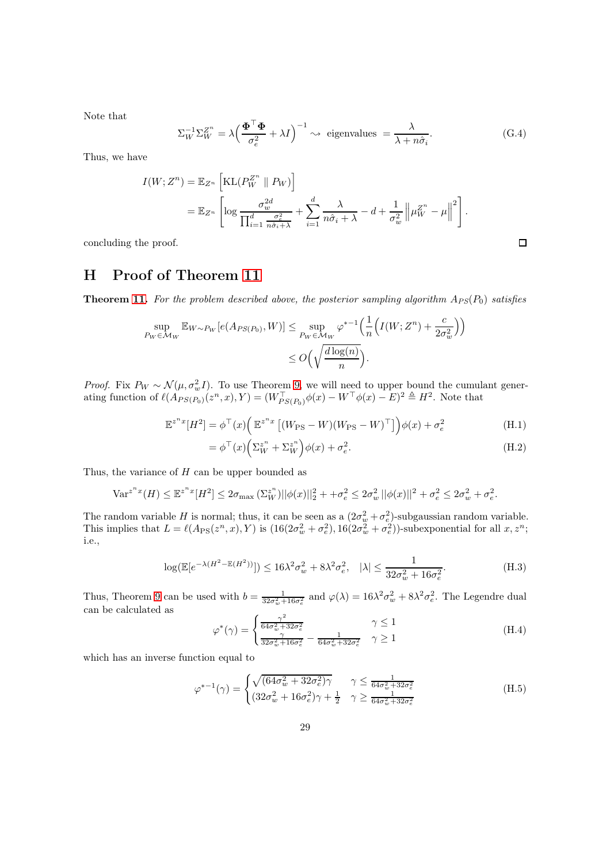Note that

$$
\Sigma_W^{-1} \Sigma_W^{Z^n} = \lambda \left(\frac{\Phi^\top \Phi}{\sigma_e^2} + \lambda I\right)^{-1} \sim \text{ eigenvalues } = \frac{\lambda}{\lambda + n\hat{\sigma}_i}.\tag{G.4}
$$

Thus, we have

$$
I(W; Z^n) = \mathbb{E}_{Z^n} \left[ \text{KL}(P_W^{Z^n} \parallel P_W) \right]
$$
  
= 
$$
\mathbb{E}_{Z^n} \left[ \log \frac{\sigma_w^{2d}}{\prod_{i=1}^d \frac{\sigma_e^2}{n \hat{\sigma}_i + \lambda}} + \sum_{i=1}^d \frac{\lambda}{n \hat{\sigma}_i + \lambda} - d + \frac{1}{\sigma_w^2} \left\| \mu_W^{Z^n} - \mu \right\|^2 \right].
$$

concluding the proof.

# H Proof of Theorem [11](#page-12-0)

**Theorem [11.](#page-12-0)** For the problem described above, the posterior sampling algorithm  $A_{PS}(P_0)$  satisfies

$$
\sup_{P_W \in \mathcal{M}_W} \mathbb{E}_{W \sim P_W} [e(A_{PS(P_0)}, W)] \le \sup_{P_W \in \mathcal{M}_W} \varphi^{*-1} \Big( \frac{1}{n} \Big( I(W; Z^n) + \frac{c}{2\sigma_w^2} \Big) \Big) \le O\Big(\sqrt{\frac{d \log(n)}{n}}\Big).
$$

*Proof.* Fix  $P_W \sim \mathcal{N}(\mu, \sigma_w^2 I)$ . To use Theorem [9,](#page-11-0) we will need to upper bound the cumulant generating function of  $\ell(A_{PS(P_0)}(z^n, x), Y) = (W_{PS(P_0)}^{\top} \phi(x) - W^{\top} \phi(x) - E)^2 \triangleq H^2$ . Note that

$$
\mathbb{E}^{z^n x} [H^2] = \phi^\top(x) \left( \mathbb{E}^{z^n x} \left[ (W_{\text{PS}} - W)(W_{\text{PS}} - W)^\top \right] \right) \phi(x) + \sigma_e^2 \tag{H.1}
$$

$$
= \phi^{\top}(x) \left( \Sigma_W^{z^n} + \Sigma_W^{z^n} \right) \phi(x) + \sigma_e^2.
$$
 (H.2)

Thus, the variance of  $H$  can be upper bounded as

$$
\text{Var}^{z^n x}(H) \le \mathbb{E}^{z^n x}[H^2] \le 2\sigma_{\text{max}}\left(\Sigma_W^{z^n}\right) \|\phi(x)\|_2^2 + \sigma_e^2 \le 2\sigma_w^2 \|\phi(x)\|^2 + \sigma_e^2 \le 2\sigma_w^2 + \sigma_e^2.
$$

The random variable H is normal; thus, it can be seen as a  $(2\sigma_w^2 + \sigma_e^2)$ -subgaussian random variable. This implies that  $L = \ell(A_{\text{PS}}(z^n, x), Y)$  is  $(16(2\sigma_w^2 + \sigma_e^2), 16(2\sigma_w^2 + \sigma_e^2))$ -subexponential for all  $x, z^n$ ; i.e.,

$$
\log(\mathbb{E}[e^{-\lambda(H^2 - \mathbb{E}(H^2))}]) \le 16\lambda^2 \sigma_w^2 + 8\lambda^2 \sigma_e^2, \quad |\lambda| \le \frac{1}{32\sigma_w^2 + 16\sigma_e^2}.
$$
 (H.3)

Thus, Theorem [9](#page-11-0) can be used with  $b = \frac{1}{32\sigma_w^2 + 16\sigma_e^2}$  and  $\varphi(\lambda) = 16\lambda^2 \sigma_w^2 + 8\lambda^2 \sigma_e^2$ . The Legendre dual can be calculated as

$$
\varphi^*(\gamma) = \begin{cases} \frac{\gamma^2}{64\sigma_w^2 + 32\sigma_e^2} & \gamma \le 1\\ \frac{\gamma}{32\sigma_w^2 + 16\sigma_e^2} - \frac{1}{64\sigma_w^2 + 32\sigma_e^2} & \gamma \ge 1 \end{cases}
$$
(H.4)

which has an inverse function equal to

$$
\varphi^{*-1}(\gamma) = \begin{cases} \sqrt{(64\sigma_w^2 + 32\sigma_e^2)\gamma} & \gamma \le \frac{1}{64\sigma_w^2 + 32\sigma_e^2} \\ (32\sigma_w^2 + 16\sigma_e^2)\gamma + \frac{1}{2} & \gamma \ge \frac{1}{64\sigma_w^2 + 32\sigma_e^2} \end{cases}
$$
(H.5)

<span id="page-28-0"></span> $\Box$